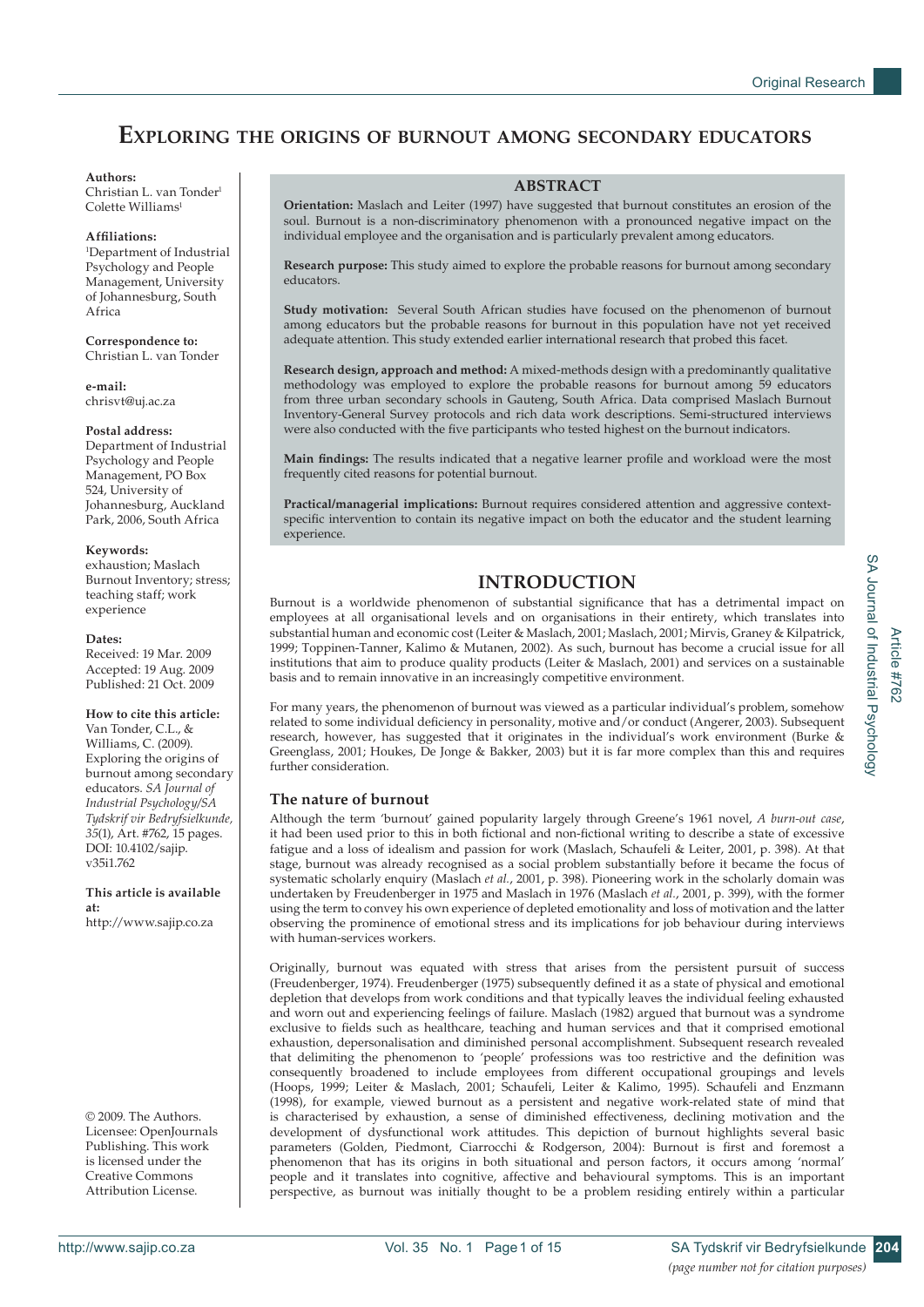# **EXPLORING THE ORIGINS OF BURNOUT AMONG SECONDARY EDUCATORS**

**Authors:** 

Christian L. van Tonder<sup>1</sup> Colette Williams<sup>1</sup>

#### **Affi liations:**

1 Department of Industrial Psychology and People Management, University of Johannesburg, South Africa

#### **Correspondence to:**

Christian L. van Tonder

**e-mail:**  chrisvt@uj.ac.za

#### **Postal address:**

Department of Industrial Psychology and People Management, PO Box 524, University of Johannesburg, Auckland Park, 2006, South Africa

#### **Keywords:**

exhaustion; Maslach Burnout Inventory; stress; teaching staff; work experience

#### **Dates:**

Received: 19 Mar. 2009 Accepted: 19 Aug. 2009 Published: 21 Oct. 2009

#### **How to cite this article:**

Van Tonder, C.L., & Williams, C. (2009). Exploring the origins of burnout among secondary educators. *SA Journal of Industrial Psychology/SA Tydskrif vir Bedryfsielkunde, 35*(1), Art. #762, 15 pages. DOI: 10.4102/sajip. v35i1.762

### **This article is available at:**

http://www.sajip.co.za

© 2009. The Authors. Licensee: OpenJournals Publishing. This work is licensed under the Creative Commons Attribution License.

#### **ABSTRACT**

**Orientation:** Maslach and Leiter (1997) have suggested that burnout constitutes an erosion of the soul. Burnout is a non-discriminatory phenomenon with a pronounced negative impact on the individual employee and the organisation and is particularly prevalent among educators.

**Research purpose:** This study aimed to explore the probable reasons for burnout among secondary educators.

**Study motivation:** Several South African studies have focused on the phenomenon of burnout among educators but the probable reasons for burnout in this population have not yet received adequate attention. This study extended earlier international research that probed this facet.

**Research design, approach and method:** A mixed-methods design with a predominantly qualitative methodology was employed to explore the probable reasons for burnout among 59 educators from three urban secondary schools in Gauteng, South Africa. Data comprised Maslach Burnout Inventory-General Survey protocols and rich data work descriptions. Semi-structured interviews were also conducted with the five participants who tested highest on the burnout indicators.

Main findings: The results indicated that a negative learner profile and workload were the most frequently cited reasons for potential burnout.

**Practical/managerial implications:** Burnout requires considered attention and aggressive contextspecific intervention to contain its negative impact on both the educator and the student learning experience.

# **INTRoDuCTIoN**

Burnout is a worldwide phenomenon of substantial significance that has a detrimental impact on employees at all organisational levels and on organisations in their entirety, which translates into substantial human and economic cost (Leiter & Maslach, 2001; Maslach, 2001; Mirvis, Graney & Kilpatrick, 1999; Toppinen-Tanner, Kalimo & Mutanen, 2002). As such, burnout has become a crucial issue for all institutions that aim to produce quality products (Leiter & Maslach, 2001) and services on a sustainable basis and to remain innovative in an increasingly competitive environment.

For many years, the phenomenon of burnout was viewed as a particular individual's problem, somehow related to some individual deficiency in personality, motive and/or conduct (Angerer, 2003). Subsequent research, however, has suggested that it originates in the individual's work environment (Burke & Greenglass, 2001; Houkes, De Jonge & Bakker, 2003) but it is far more complex than this and requires further consideration.

## **The nature of burnout**

Although the term 'burnout' gained popularity largely through Greene's 1961 novel, *A burn-out case*, it had been used prior to this in both fictional and non-fictional writing to describe a state of excessive fatigue and a loss of idealism and passion for work (Maslach, Schaufeli & Leiter, 2001, p. 398). At that stage, burnout was already recognised as a social problem substantially before it became the focus of systematic scholarly enquiry (Maslach *et al.*, 2001, p. 398). Pioneering work in the scholarly domain was undertaken by Freudenberger in 1975 and Maslach in 1976 (Maslach *et al.*, 2001, p. 399), with the former using the term to convey his own experience of depleted emotionality and loss of motivation and the latter observing the prominence of emotional stress and its implications for job behaviour during interviews with human-services workers.

Originally, burnout was equated with stress that arises from the persistent pursuit of success (Freudenberger, 1974). Freudenberger (1975) subsequently defined it as a state of physical and emotional depletion that develops from work conditions and that typically leaves the individual feeling exhausted and worn out and experiencing feelings of failure. Maslach (1982) argued that burnout was a syndrome exclusive to fields such as healthcare, teaching and human services and that it comprised emotional exhaustion, depersonalisation and diminished personal accomplishment. Subsequent research revealed that delimiting the phenomenon to 'people' professions was too restrictive and the definition was consequently broadened to include employees from different occupational groupings and levels (Hoops, 1999; Leiter & Maslach, 2001; Schaufeli, Leiter & Kalimo, 1995). Schaufeli and Enzmann (1998), for example, viewed burnout as a persistent and negative work-related state of mind that is characterised by exhaustion, a sense of diminished effectiveness, declining motivation and the development of dysfunctional work attitudes. This depiction of burnout highlights several basic parameters (Golden, Piedmont, Ciarrocchi & Rodgerson, 2004): Burnout is first and foremost a phenomenon that has its origins in both situational and person factors, it occurs among 'normal' people and it translates into cognitive, affective and behavioural symptoms. This is an important perspective, as burnout was initially thought to be a problem residing entirely within a particular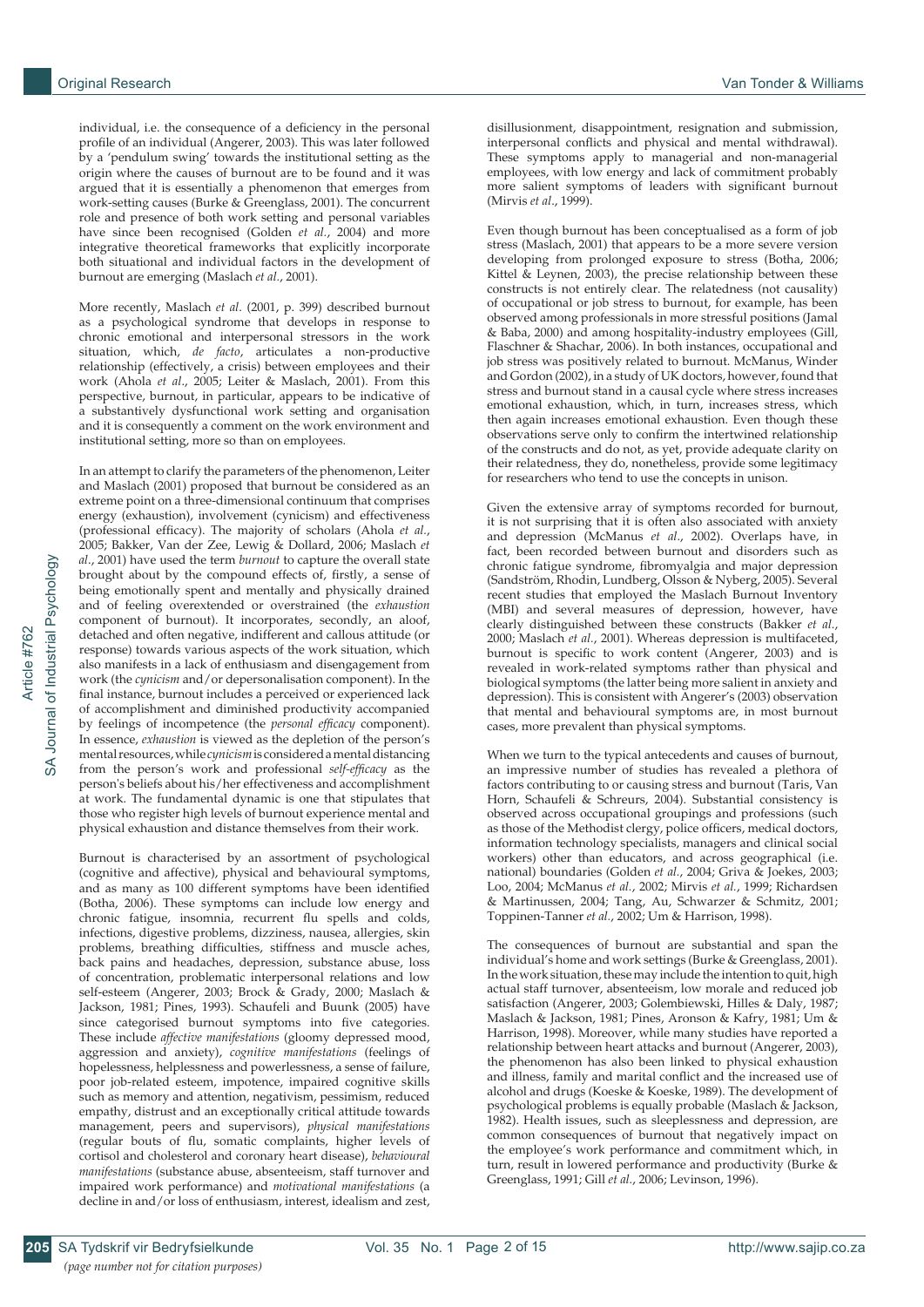individual, i.e. the consequence of a deficiency in the personal profile of an individual (Angerer, 2003). This was later followed by a 'pendulum swing' towards the institutional setting as the origin where the causes of burnout are to be found and it was argued that it is essentially a phenomenon that emerges from work-setting causes (Burke & Greenglass, 2001). The concurrent role and presence of both work setting and personal variables have since been recognised (Golden *et al.*, 2004) and more integrative theoretical frameworks that explicitly incorporate both situational and individual factors in the development of burnout are emerging (Maslach *et al.*, 2001).

More recently, Maslach *et al*. (2001, p. 399) described burnout as a psychological syndrome that develops in response to chronic emotional and interpersonal stressors in the work situation, which, *de facto*, articulates a non-productive relationship (effectively, a crisis) between employees and their work (Ahola *et al*., 2005; Leiter & Maslach, 2001). From this perspective, burnout, in particular, appears to be indicative of a substantively dysfunctional work setting and organisation and it is consequently a comment on the work environment and institutional setting, more so than on employees.

In an attempt to clarify the parameters of the phenomenon, Leiter and Maslach (2001) proposed that burnout be considered as an extreme point on a three-dimensional continuum that comprises energy (exhaustion), involvement (cynicism) and effectiveness (professional efficacy). The majority of scholars (Ahola *et al.*, 2005; Bakker, Van der Zee, Lewig & Dollard, 2006; Maslach *et al*., 2001) have used the term *burnout* to capture the overall state brought about by the compound effects of, firstly, a sense of being emotionally spent and mentally and physically drained and of feeling overextended or overstrained (the *exhaustion* component of burnout). It incorporates, secondly, an aloof, detached and often negative, indifferent and callous attitude (or response) towards various aspects of the work situation, which also manifests in a lack of enthusiasm and disengagement from work (the *cynicism* and/or depersonalisation component). In the final instance, burnout includes a perceived or experienced lack of accomplishment and diminished productivity accompanied by feelings of incompetence (the *personal efficacy* component). In essence, *exhaustion* is viewed as the depletion of the person's mental resources, while *cynicism* is considered a mental distancing from the person's work and professional *self-efficacy* as the person's beliefs about his/her effectiveness and accomplishment at work. The fundamental dynamic is one that stipulates that those who register high levels of burnout experience mental and physical exhaustion and distance themselves from their work.

Burnout is characterised by an assortment of psychological (cognitive and affective), physical and behavioural symptoms, and as many as 100 different symptoms have been identified (Botha, 2006). These symptoms can include low energy and chronic fatigue, insomnia, recurrent flu spells and colds, infections, digestive problems, dizziness, nausea, allergies, skin problems, breathing difficulties, stiffness and muscle aches, back pains and headaches, depression, substance abuse, loss of concentration, problematic interpersonal relations and low self-esteem (Angerer, 2003; Brock & Grady, 2000; Maslach & Jackson, 1981; Pines, 1993). Schaufeli and Buunk (2005) have since categorised burnout symptoms into five categories. These include *affective manifestations* (gloomy depressed mood, aggression and anxiety), *cognitive manifestations* (feelings of hopelessness, helplessness and powerlessness, a sense of failure, poor job-related esteem, impotence, impaired cognitive skills such as memory and attention, negativism, pessimism, reduced empathy, distrust and an exceptionally critical attitude towards management, peers and supervisors), *physical manifestations* (regular bouts of flu, somatic complaints, higher levels of cortisol and cholesterol and coronary heart disease), *behavioural manifestations* (substance abuse, absenteeism, staff turnover and impaired work performance) and *motivational manifestations* (a decline in and/or loss of enthusiasm, interest, idealism and zest,

disillusionment, disappointment, resignation and submission, interpersonal conflicts and physical and mental withdrawal). These symptoms apply to managerial and non-managerial employees, with low energy and lack of commitment probably more salient symptoms of leaders with significant burnout (Mirvis *et al*., 1999).

Even though burnout has been conceptualised as a form of job stress (Maslach, 2001) that appears to be a more severe version developing from prolonged exposure to stress (Botha, 2006; Kittel & Leynen, 2003), the precise relationship between these constructs is not entirely clear. The relatedness (not causality) of occupational or job stress to burnout, for example, has been observed among professionals in more stressful positions (Jamal & Baba, 2000) and among hospitality-industry employees (Gill, Flaschner & Shachar, 2006). In both instances, occupational and job stress was positively related to burnout. McManus, Winder and Gordon (2002), in a study of UK doctors, however, found that stress and burnout stand in a causal cycle where stress increases emotional exhaustion, which, in turn, increases stress, which then again increases emotional exhaustion. Even though these observations serve only to confirm the intertwined relationship of the constructs and do not, as yet, provide adequate clarity on their relatedness, they do, nonetheless, provide some legitimacy for researchers who tend to use the concepts in unison.

Given the extensive array of symptoms recorded for burnout, it is not surprising that it is often also associated with anxiety and depression (McManus *et al*., 2002). Overlaps have, in fact, been recorded between burnout and disorders such as chronic fatigue syndrome, fibromyalgia and major depression (Sandström, Rhodin, Lundberg, Olsson & Nyberg, 2005). Several recent studies that employed the Maslach Burnout Inventory (MBI) and several measures of depression, however, have clearly distinguished between these constructs (Bakker *et al*., 2000; Maslach *et al.*, 2001). Whereas depression is multifaceted, burnout is specific to work content (Angerer, 2003) and is revealed in work-related symptoms rather than physical and biological symptoms (the latter being more salient in anxiety and depression). This is consistent with Angerer's (2003) observation that mental and behavioural symptoms are, in most burnout cases, more prevalent than physical symptoms.

When we turn to the typical antecedents and causes of burnout, an impressive number of studies has revealed a plethora of factors contributing to or causing stress and burnout (Taris, Van Horn, Schaufeli & Schreurs, 2004). Substantial consistency is observed across occupational groupings and professions (such as those of the Methodist clergy, police officers, medical doctors, information technology specialists, managers and clinical social workers) other than educators, and across geographical (i.e. national) boundaries (Golden *et al.*, 2004; Griva & Joekes, 2003; Loo, 2004; McManus *et al.*, 2002; Mirvis *et al.*, 1999; Richardsen & Martinussen, 2004; Tang, Au, Schwarzer & Schmitz, 2001; Toppinen-Tanner *et al.*, 2002; Um & Harrison, 1998).

The consequences of burnout are substantial and span the individual's home and work settings (Burke & Greenglass, 2001). In the work situation, these may include the intention to quit, high actual staff turnover, absenteeism, low morale and reduced job satisfaction (Angerer, 2003; Golembiewski, Hilles & Daly, 1987; Maslach & Jackson, 1981; Pines, Aronson & Kafry, 1981; Um & Harrison, 1998). Moreover, while many studies have reported a relationship between heart attacks and burnout (Angerer, 2003), the phenomenon has also been linked to physical exhaustion and illness, family and marital conflict and the increased use of alcohol and drugs (Koeske & Koeske, 1989). The development of psychological problems is equally probable (Maslach & Jackson, 1982). Health issues, such as sleeplessness and depression, are common consequences of burnout that negatively impact on the employee's work performance and commitment which, in turn, result in lowered performance and productivity (Burke & Greenglass, 1991; Gill *et al.*, 2006; Levinson, 1996).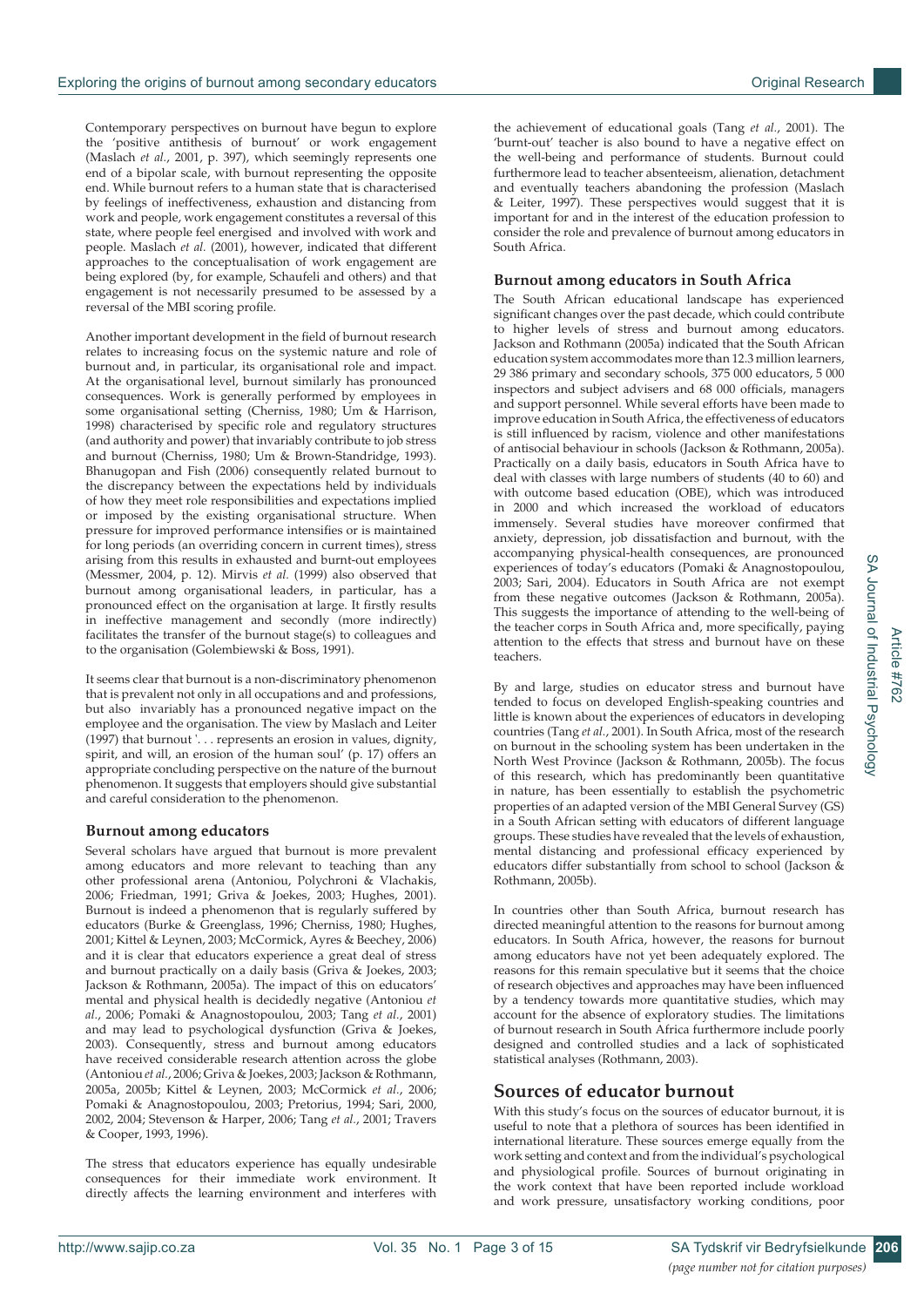Contemporary perspectives on burnout have begun to explore the 'positive antithesis of burnout' or work engagement (Maslach *et al.*, 2001, p. 397), which seemingly represents one end of a bipolar scale, with burnout representing the opposite end. While burnout refers to a human state that is characterised by feelings of ineffectiveness, exhaustion and distancing from work and people, work engagement constitutes a reversal of this state, where people feel energised and involved with work and people. Maslach *et al.* (2001), however, indicated that different approaches to the conceptualisation of work engagement are being explored (by, for example, Schaufeli and others) and that engagement is not necessarily presumed to be assessed by a reversal of the MBI scoring profile.

Another important development in the field of burnout research relates to increasing focus on the systemic nature and role of burnout and, in particular, its organisational role and impact. At the organisational level, burnout similarly has pronounced consequences. Work is generally performed by employees in some organisational setting (Cherniss, 1980; Um & Harrison, 1998) characterised by specific role and regulatory structures (and authority and power) that invariably contribute to job stress and burnout (Cherniss, 1980; Um & Brown-Standridge, 1993). Bhanugopan and Fish (2006) consequently related burnout to the discrepancy between the expectations held by individuals of how they meet role responsibilities and expectations implied or imposed by the existing organisational structure. When pressure for improved performance intensifies or is maintained for long periods (an overriding concern in current times), stress arising from this results in exhausted and burnt-out employees (Messmer, 2004, p. 12). Mirvis *et al.* (1999) also observed that burnout among organisational leaders, in particular, has a pronounced effect on the organisation at large. It firstly results in ineffective management and secondly (more indirectly) facilitates the transfer of the burnout stage(s) to colleagues and to the organisation (Golembiewski & Boss, 1991).

It seems clear that burnout is a non-discriminatory phenomenon that is prevalent not only in all occupations and and professions, but also invariably has a pronounced negative impact on the employee and the organisation. The view by Maslach and Leiter (1997) that burnout '. . . represents an erosion in values, dignity, spirit, and will, an erosion of the human soul' (p. 17) offers an appropriate concluding perspective on the nature of the burnout phenomenon. It suggests that employers should give substantial and careful consideration to the phenomenon.

## **Burnout among educators**

Area of the state of the state of the state of the state of the state of the state of the state of the state of the state of the state of the state of the state of the state of the state of the state of the state of the s Several scholars have argued that burnout is more prevalent among educators and more relevant to teaching than any other professional arena (Antoniou, Polychroni & Vlachakis, 2006; Friedman, 1991; Griva & Joekes, 2003; Hughes, 2001). Burnout is indeed a phenomenon that is regularly suffered by educators (Burke & Greenglass, 1996; Cherniss, 1980; Hughes, 2001; Kittel & Leynen, 2003; McCormick, Ayres & Beechey, 2006) and it is clear that educators experience a great deal of stress and burnout practically on a daily basis (Griva & Joekes, 2003; Jackson & Rothmann, 2005a). The impact of this on educators' mental and physical health is decidedly negative (Antoniou *et al.*, 2006; Pomaki & Anagnostopoulou, 2003; Tang *et al.*, 2001) and may lead to psychological dysfunction (Griva & Joekes, 2003). Consequently, stress and burnout among educators have received considerable research attention across the globe (Antoniou *et al.*, 2006; Griva & Joekes, 2003; Jackson & Rothmann, 2005a, 2005b; Kittel & Leynen, 2003; McCormick *et al.*, 2006; Pomaki & Anagnostopoulou, 2003; Pretorius, 1994; Sari, 2000, 2002, 2004; Stevenson & Harper, 2006; Tang *et al.*, 2001; Travers & Cooper, 1993, 1996).

The stress that educators experience has equally undesirable consequences for their immediate work environment. It directly affects the learning environment and interferes with

the achievement of educational goals (Tang *et al.*, 2001). The 'burnt-out' teacher is also bound to have a negative effect on the well-being and performance of students. Burnout could furthermore lead to teacher absenteeism, alienation, detachment and eventually teachers abandoning the profession (Maslach & Leiter, 1997). These perspectives would suggest that it is important for and in the interest of the education profession to consider the role and prevalence of burnout among educators in South Africa.

### **Burnout among educators in South Africa**

The South African educational landscape has experienced significant changes over the past decade, which could contribute to higher levels of stress and burnout among educators. Jackson and Rothmann (2005a) indicated that the South African education system accommodates more than 12.3 million learners, 29 386 primary and secondary schools, 375 000 educators, 5 000 inspectors and subject advisers and 68 000 officials, managers and support personnel. While several efforts have been made to improve education in South Africa, the effectiveness of educators is still influenced by racism, violence and other manifestations of antisocial behaviour in schools (Jackson & Rothmann, 2005a). Practically on a daily basis, educators in South Africa have to deal with classes with large numbers of students (40 to 60) and with outcome based education (OBE), which was introduced in 2000 and which increased the workload of educators immensely. Several studies have moreover confirmed that anxiety, depression, job dissatisfaction and burnout, with the accompanying physical-health consequences, are pronounced experiences of today's educators (Pomaki & Anagnostopoulou, 2003; Sari, 2004). Educators in South Africa are not exempt from these negative outcomes (Jackson & Rothmann, 2005a). This suggests the importance of attending to the well-being of the teacher corps in South Africa and, more specifically, paying attention to the effects that stress and burnout have on these teachers.

By and large, studies on educator stress and burnout have tended to focus on developed English-speaking countries and little is known about the experiences of educators in developing countries (Tang *et al.*, 2001). In South Africa, most of the research on burnout in the schooling system has been undertaken in the North West Province (Jackson & Rothmann, 2005b). The focus of this research, which has predominantly been quantitative in nature, has been essentially to establish the psychometric properties of an adapted version of the MBI General Survey (GS) in a South African setting with educators of different language groups. These studies have revealed that the levels of exhaustion, mental distancing and professional efficacy experienced by educators differ substantially from school to school (Jackson & Rothmann, 2005b).

In countries other than South Africa, burnout research has directed meaningful attention to the reasons for burnout among educators. In South Africa, however, the reasons for burnout among educators have not yet been adequately explored. The reasons for this remain speculative but it seems that the choice of research objectives and approaches may have been influenced by a tendency towards more quantitative studies, which may account for the absence of exploratory studies. The limitations of burnout research in South Africa furthermore include poorly designed and controlled studies and a lack of sophisticated statistical analyses (Rothmann, 2003).

## **Sources of educator burnout**

With this study's focus on the sources of educator burnout, it is useful to note that a plethora of sources has been identified in international literature. These sources emerge equally from the work setting and context and from the individual's psychological and physiological profile. Sources of burnout originating in the work context that have been reported include workload and work pressure, unsatisfactory working conditions, poor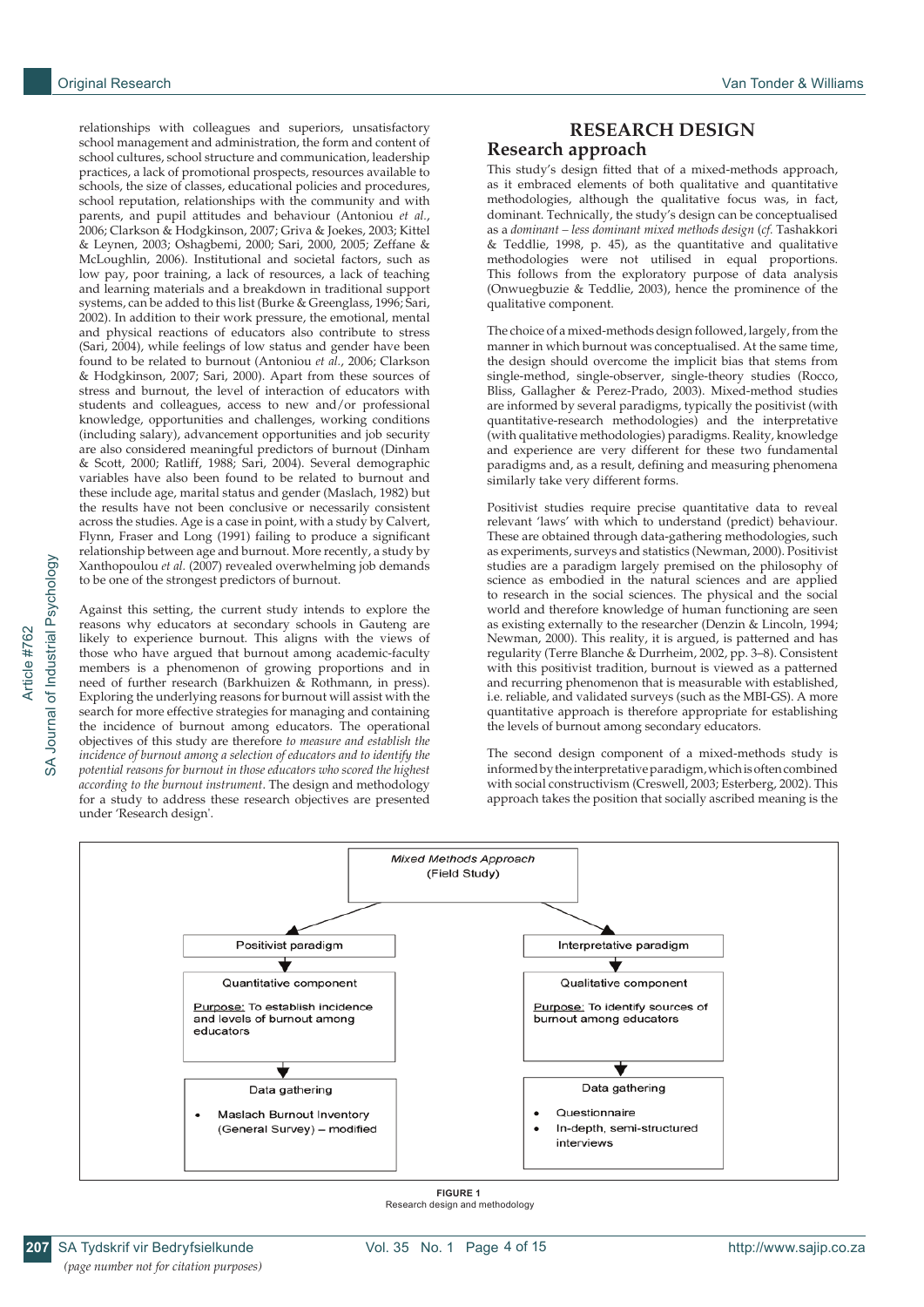relationships with colleagues and superiors, unsatisfactory school management and administration, the form and content of school cultures, school structure and communication, leadership practices, a lack of promotional prospects, resources available to schools, the size of classes, educational policies and procedures, school reputation, relationships with the community and with parents, and pupil attitudes and behaviour (Antoniou *et al.*, 2006; Clarkson & Hodgkinson, 2007; Griva & Joekes, 2003; Kittel & Leynen, 2003; Oshagbemi, 2000; Sari, 2000, 2005; Zeffane & McLoughlin, 2006). Institutional and societal factors, such as low pay, poor training, a lack of resources, a lack of teaching and learning materials and a breakdown in traditional support systems, can be added to this list (Burke & Greenglass, 1996; Sari, 2002). In addition to their work pressure, the emotional, mental and physical reactions of educators also contribute to stress (Sari, 2004), while feelings of low status and gender have been found to be related to burnout (Antoniou *et al.*, 2006; Clarkson & Hodgkinson, 2007; Sari, 2000). Apart from these sources of stress and burnout, the level of interaction of educators with students and colleagues, access to new and/or professional knowledge, opportunities and challenges, working conditions (including salary), advancement opportunities and job security are also considered meaningful predictors of burnout (Dinham & Scott, 2000; Ratliff, 1988; Sari, 2004). Several demographic variables have also been found to be related to burnout and these include age, marital status and gender (Maslach, 1982) but the results have not been conclusive or necessarily consistent across the studies. Age is a case in point, with a study by Calvert, Flynn, Fraser and Long (1991) failing to produce a significant relationship between age and burnout. More recently, a study by Xanthopoulou *et al.* (2007) revealed overwhelming job demands to be one of the strongest predictors of burnout.

Against this setting, the current study intends to explore the reasons why educators at secondary schools in Gauteng are likely to experience burnout. This aligns with the views of those who have argued that burnout among academic-faculty members is a phenomenon of growing proportions and in need of further research (Barkhuizen & Rothmann, in press). Exploring the underlying reasons for burnout will assist with the search for more effective strategies for managing and containing the incidence of burnout among educators. The operational objectives of this study are therefore *to measure and establish the incidence of burnout among a selection of educators and to identify the potential reasons for burnout in those educators who scored the highest according to the burnout instrument*. The design and methodology for a study to address these research objectives are presented under 'Research design'.

## **RESEARCH DESIGN Research approach**

This study's design fitted that of a mixed-methods approach, as it embraced elements of both qualitative and quantitative methodologies, although the qualitative focus was, in fact, dominant. Technically, the study's design can be conceptualised as a *dominant – less dominant mixed methods design* (*cf.* Tashakkori & Teddlie, 1998, p. 45), as the quantitative and qualitative methodologies were not utilised in equal proportions. This follows from the exploratory purpose of data analysis (Onwuegbuzie & Teddlie, 2003), hence the prominence of the qualitative component.

The choice of a mixed-methods design followed, largely, from the manner in which burnout was conceptualised. At the same time, the design should overcome the implicit bias that stems from single-method, single-observer, single-theory studies (Rocco, Bliss, Gallagher & Perez-Prado, 2003). Mixed-method studies are informed by several paradigms, typically the positivist (with quantitative-research methodologies) and the interpretative (with qualitative methodologies) paradigms. Reality, knowledge and experience are very different for these two fundamental paradigms and, as a result, defining and measuring phenomena similarly take very different forms.

Positivist studies require precise quantitative data to reveal relevant 'laws' with which to understand (predict) behaviour. These are obtained through data-gathering methodologies, such as experiments, surveys and statistics (Newman, 2000). Positivist studies are a paradigm largely premised on the philosophy of science as embodied in the natural sciences and are applied to research in the social sciences. The physical and the social world and therefore knowledge of human functioning are seen as existing externally to the researcher (Denzin & Lincoln, 1994; Newman, 2000). This reality, it is argued, is patterned and has regularity (Terre Blanche & Durrheim, 2002, pp. 3–8). Consistent with this positivist tradition, burnout is viewed as a patterned and recurring phenomenon that is measurable with established, i.e. reliable, and validated surveys (such as the MBI-GS). A more quantitative approach is therefore appropriate for establishing the levels of burnout among secondary educators.

The second design component of a mixed-methods study is informed by the interpretative paradigm, which is often combined with social constructivism (Creswell, 2003; Esterberg, 2002). This approach takes the position that socially ascribed meaning is the



**FIGURE 1** Research design and methodology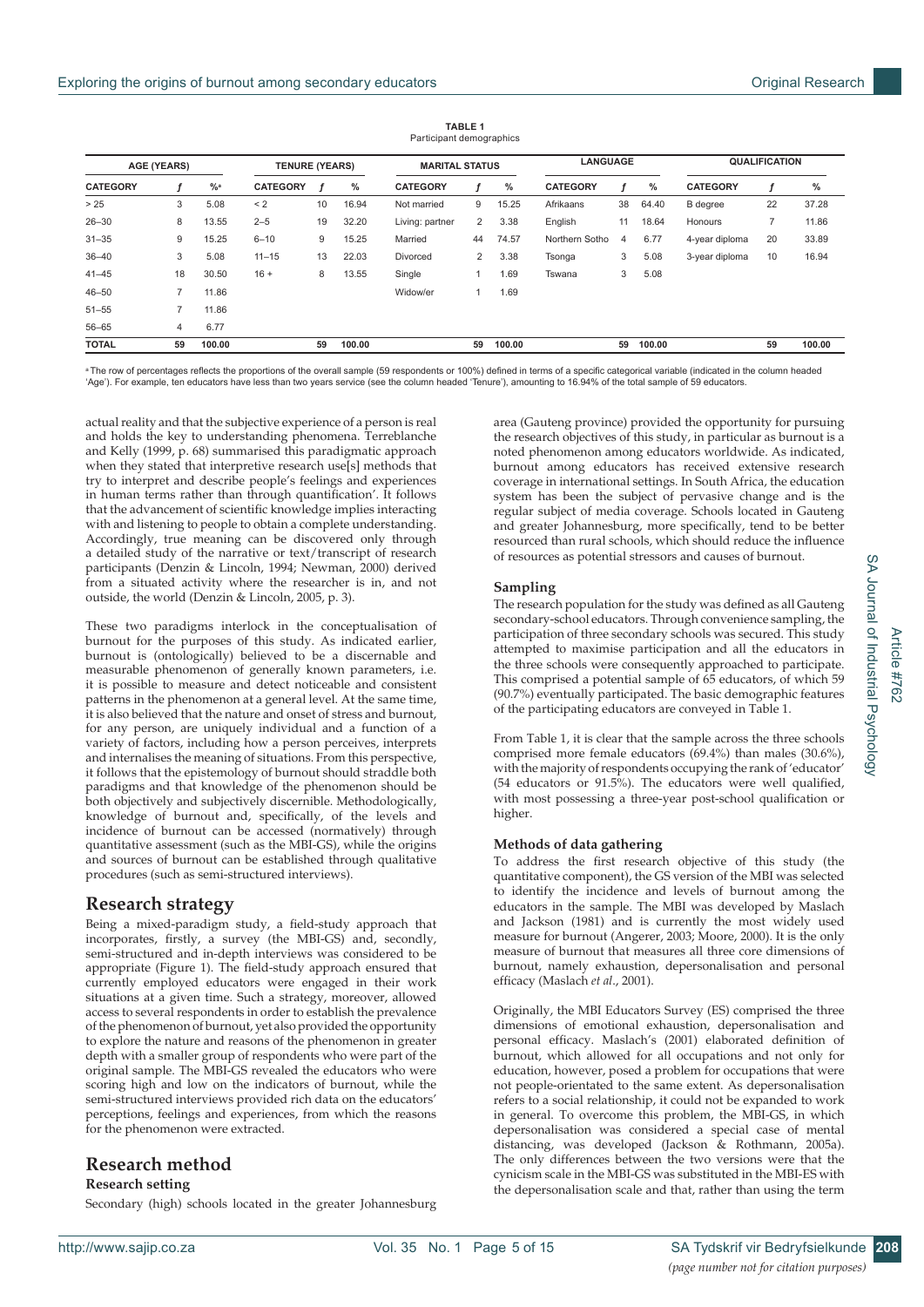| <b>AGE (YEARS)</b> |                | <b>TENURE (YEARS)</b>      |                 |    | <b>MARITAL STATUS</b> |                 | <b>LANGUAGE</b> |               |                 | <b>QUALIFICATION</b> |        |                 |    |        |
|--------------------|----------------|----------------------------|-----------------|----|-----------------------|-----------------|-----------------|---------------|-----------------|----------------------|--------|-----------------|----|--------|
| <b>CATEGORY</b>    |                | $\frac{9}{6}$ <sup>a</sup> | <b>CATEGORY</b> |    | %                     | <b>CATEGORY</b> |                 | $\frac{0}{0}$ | <b>CATEGORY</b> |                      | $\%$   | <b>CATEGORY</b> |    | %      |
| > 25               | 3              | 5.08                       | < 2             | 10 | 16.94                 | Not married     | 9               | 15.25         | Afrikaans       | 38                   | 64.40  | B degree        | 22 | 37.28  |
| $26 - 30$          | 8              | 13.55                      | $2 - 5$         | 19 | 32.20                 | Living: partner | $\overline{2}$  | 3.38          | English         | 11                   | 18.64  | Honours         | 7  | 11.86  |
| $31 - 35$          | 9              | 15.25                      | $6 - 10$        | 9  | 15.25                 | Married         | 44              | 74.57         | Northern Sotho  | 4                    | 6.77   | 4-year diploma  | 20 | 33.89  |
| $36 - 40$          | 3              | 5.08                       | $11 - 15$       | 13 | 22.03                 | Divorced        | $\overline{2}$  | 3.38          | Tsonga          | 3                    | 5.08   | 3-year diploma  | 10 | 16.94  |
| $41 - 45$          | 18             | 30.50                      | $16 +$          | 8  | 13.55                 | Single          |                 | 1.69          | Tswana          | 3                    | 5.08   |                 |    |        |
| $46 - 50$          | $\overline{7}$ | 11.86                      |                 |    |                       | Widow/er        |                 | 1.69          |                 |                      |        |                 |    |        |
| $51 - 55$          | $\overline{7}$ | 11.86                      |                 |    |                       |                 |                 |               |                 |                      |        |                 |    |        |
| $56 - 65$          | 4              | 6.77                       |                 |    |                       |                 |                 |               |                 |                      |        |                 |    |        |
| <b>TOTAL</b>       | 59             | 100.00                     |                 | 59 | 100.00                |                 | 59              | 100.00        |                 | 59                   | 100.00 |                 | 59 | 100.00 |

**TABLE 1** Participant demographics

<sup>a</sup>The row of percentages reflects the proportions of the overall sample (59 respondents or 100%) defined in terms of a specific categorical variable (indicated in the column headed 'Age'). For example, ten educators have less than two years service (see the column headed 'Tenure'), amounting to 16.94% of the total sample of 59 educators.

actual reality and that the subjective experience of a person is real and holds the key to understanding phenomena. Terreblanche and Kelly (1999, p. 68) summarised this paradigmatic approach when they stated that interpretive research use[s] methods that try to interpret and describe people's feelings and experiences in human terms rather than through quantification'. It follows that the advancement of scientific knowledge implies interacting with and listening to people to obtain a complete understanding. Accordingly, true meaning can be discovered only through a detailed study of the narrative or text/transcript of research participants (Denzin & Lincoln, 1994; Newman, 2000) derived from a situated activity where the researcher is in, and not outside, the world (Denzin & Lincoln, 2005, p. 3).

particles in the best control of the matrix of the control of the control of the control of the sychology of the control of the sychology of the sychology of the sychology of the sychology of the sychology of the sycholo These two paradigms interlock in the conceptualisation of burnout for the purposes of this study. As indicated earlier, burnout is (ontologically) believed to be a discernable and measurable phenomenon of generally known parameters, i.e. it is possible to measure and detect noticeable and consistent patterns in the phenomenon at a general level. At the same time, it is also believed that the nature and onset of stress and burnout, for any person, are uniquely individual and a function of a variety of factors, including how a person perceives, interprets and internalises the meaning of situations. From this perspective, it follows that the epistemology of burnout should straddle both paradigms and that knowledge of the phenomenon should be both objectively and subjectively discernible. Methodologically, knowledge of burnout and, specifically, of the levels and incidence of burnout can be accessed (normatively) through quantitative assessment (such as the MBI-GS), while the origins and sources of burnout can be established through qualitative procedures (such as semi-structured interviews).

# **Research strategy**

Being a mixed-paradigm study, a field-study approach that incorporates, firstly, a survey (the MBI-GS) and, secondly, semi-structured and in-depth interviews was considered to be appropriate (Figure 1). The field-study approach ensured that currently employed educators were engaged in their work situations at a given time. Such a strategy, moreover, allowed access to several respondents in order to establish the prevalence of the phenomenon of burnout, yet also provided the opportunity to explore the nature and reasons of the phenomenon in greater depth with a smaller group of respondents who were part of the original sample. The MBI-GS revealed the educators who were scoring high and low on the indicators of burnout, while the semi-structured interviews provided rich data on the educators' perceptions, feelings and experiences, from which the reasons for the phenomenon were extracted.

# **Research method**

### **Research setting**

Secondary (high) schools located in the greater Johannesburg

area (Gauteng province) provided the opportunity for pursuing the research objectives of this study, in particular as burnout is a noted phenomenon among educators worldwide. As indicated, burnout among educators has received extensive research coverage in international settings. In South Africa, the education system has been the subject of pervasive change and is the regular subject of media coverage. Schools located in Gauteng and greater Johannesburg, more specifically, tend to be better resourced than rural schools, which should reduce the influence of resources as potential stressors and causes of burnout.

### **Sampling**

The research population for the study was defined as all Gauteng secondary-school educators. Through convenience sampling, the participation of three secondary schools was secured. This study attempted to maximise participation and all the educators in the three schools were consequently approached to participate. This comprised a potential sample of 65 educators, of which 59 (90.7%) eventually participated. The basic demographic features of the participating educators are conveyed in Table 1.

From Table 1, it is clear that the sample across the three schools comprised more female educators (69.4%) than males (30.6%), with the majority of respondents occupying the rank of 'educator' (54 educators or 91.5%). The educators were well qualified, with most possessing a three-year post-school qualification or higher.

### **Methods of data gathering**

To address the first research objective of this study (the quantitative component), the GS version of the MBI was selected to identify the incidence and levels of burnout among the educators in the sample. The MBI was developed by Maslach and Jackson (1981) and is currently the most widely used measure for burnout (Angerer, 2003; Moore, 2000). It is the only measure of burnout that measures all three core dimensions of burnout, namely exhaustion, depersonalisation and personal efficacy (Maslach *et al*., 2001).

Originally, the MBI Educators Survey (ES) comprised the three dimensions of emotional exhaustion, depersonalisation and personal efficacy. Maslach's (2001) elaborated definition of burnout, which allowed for all occupations and not only for education, however, posed a problem for occupations that were not people-orientated to the same extent. As depersonalisation refers to a social relationship, it could not be expanded to work in general. To overcome this problem, the MBI-GS, in which depersonalisation was considered a special case of mental distancing, was developed (Jackson & Rothmann, 2005a). The only differences between the two versions were that the cynicism scale in the MBI-GS was substituted in the MBI-ES with the depersonalisation scale and that, rather than using the term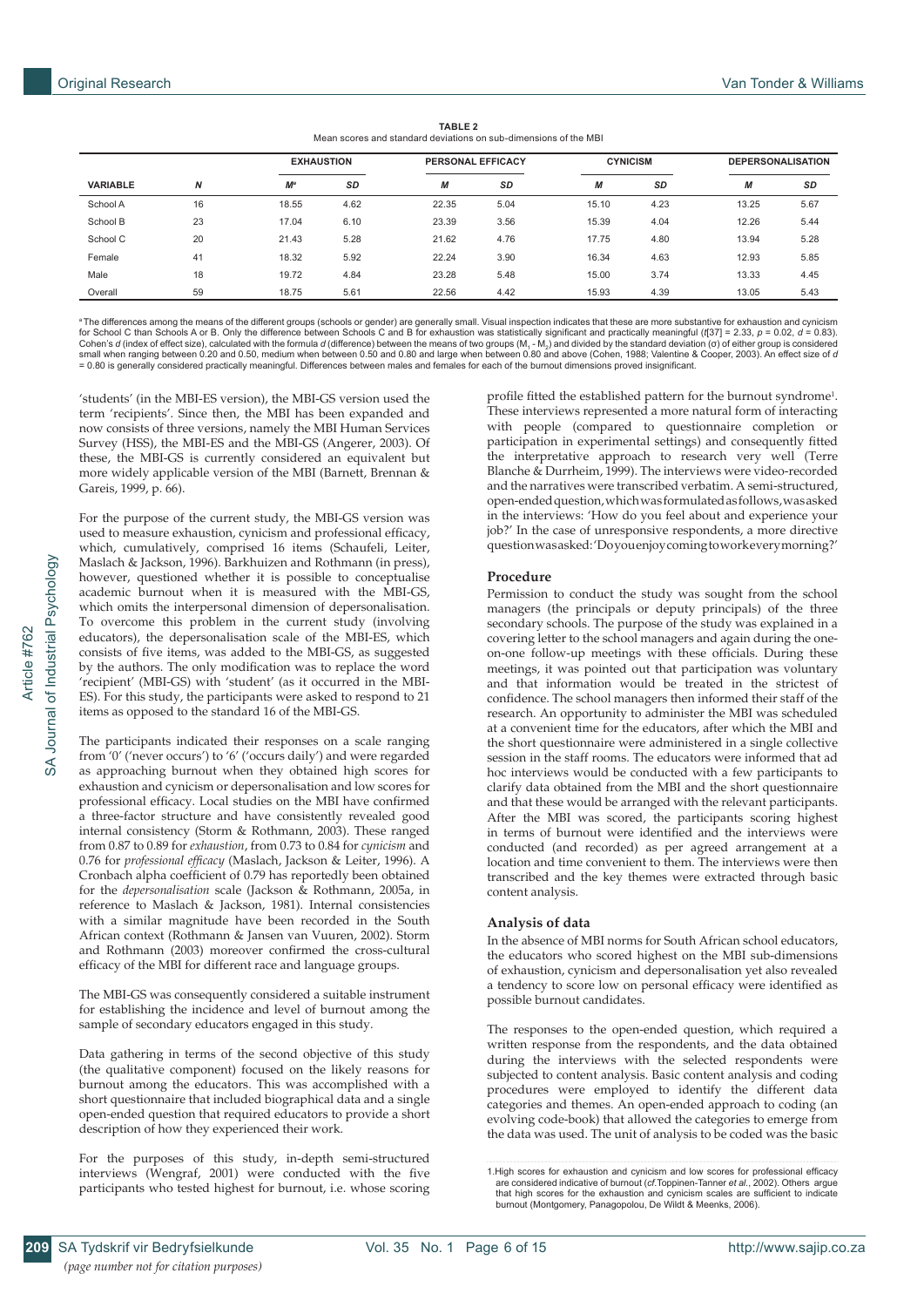| Mean scores and standard deviations on sub-dimensions of the MBI |    |                   |      |                   |      |                 |      |                          |      |
|------------------------------------------------------------------|----|-------------------|------|-------------------|------|-----------------|------|--------------------------|------|
|                                                                  |    | <b>EXHAUSTION</b> |      | PERSONAL EFFICACY |      | <b>CYNICISM</b> |      | <b>DEPERSONALISATION</b> |      |
| <b>VARIABLE</b>                                                  | N  | $M^a$             | SD   | M                 | SD   | M               | SD   | M                        | SD   |
| School A                                                         | 16 | 18.55             | 4.62 | 22.35             | 5.04 | 15.10           | 4.23 | 13.25                    | 5.67 |
| School B                                                         | 23 | 17.04             | 6.10 | 23.39             | 3.56 | 15.39           | 4.04 | 12.26                    | 5.44 |
| School C                                                         | 20 | 21.43             | 5.28 | 21.62             | 4.76 | 17.75           | 4.80 | 13.94                    | 5.28 |
| Female                                                           | 41 | 18.32             | 5.92 | 22.24             | 3.90 | 16.34           | 4.63 | 12.93                    | 5.85 |
| Male                                                             | 18 | 19.72             | 4.84 | 23.28             | 5.48 | 15.00           | 3.74 | 13.33                    | 4.45 |
| Overall                                                          | 59 | 18.75             | 5.61 | 22.56             | 4.42 | 15.93           | 4.39 | 13.05                    | 5.43 |

**TABLE 2**

a The differences among the means of the different groups (schools or gender) are generally small. Visual inspection indicates that these are more substantive for exhaustion and cynicism<br>for School C than Schools A or B. small when ranging between 0.20 and 0.50, medium when between 0.50 and 0.80 and large when between 0.80 and above (Cohen, 1988; Valentine & Cooper, 2003). An effect size of *d*<br>= 0.80 is generally considered practically me

'students' (in the MBI-ES version), the MBI-GS version used the term 'recipients'. Since then, the MBI has been expanded and now consists of three versions, namely the MBI Human Services Survey (HSS), the MBI-ES and the MBI-GS (Angerer, 2003). Of these, the MBI-GS is currently considered an equivalent but more widely applicable version of the MBI (Barnett, Brennan & Gareis, 1999, p. 66).

For the purpose of the current study, the MBI-GS version was used to measure exhaustion, cynicism and professional efficacy, which, cumulatively, comprised 16 items (Schaufeli, Leiter, Maslach & Jackson, 1996). Barkhuizen and Rothmann (in press), however, questioned whether it is possible to conceptualise academic burnout when it is measured with the MBI-GS, which omits the interpersonal dimension of depersonalisation. To overcome this problem in the current study (involving educators), the depersonalisation scale of the MBI-ES, which consists of five items, was added to the MBI-GS, as suggested by the authors. The only modification was to replace the word 'recipient' (MBI-GS) with 'student' (as it occurred in the MBI-ES). For this study, the participants were asked to respond to 21 items as opposed to the standard 16 of the MBI-GS.

The participants indicated their responses on a scale ranging from '0' ('never occurs') to '6' ('occurs daily') and were regarded as approaching burnout when they obtained high scores for exhaustion and cynicism or depersonalisation and low scores for professional efficacy. Local studies on the MBI have confirmed a three-factor structure and have consistently revealed good internal consistency (Storm & Rothmann, 2003). These ranged from 0.87 to 0.89 for *exhaustion*, from 0.73 to 0.84 for *cynicism* and 0.76 for *professional efficacy* (Maslach, Jackson & Leiter, 1996). A Cronbach alpha coefficient of 0.79 has reportedly been obtained for the *depersonalisation* scale (Jackson & Rothmann, 2005a, in reference to Maslach & Jackson, 1981). Internal consistencies with a similar magnitude have been recorded in the South African context (Rothmann & Jansen van Vuuren, 2002). Storm and Rothmann (2003) moreover confirmed the cross-cultural efficacy of the MBI for different race and language groups.

The MBI-GS was consequently considered a suitable instrument for establishing the incidence and level of burnout among the sample of secondary educators engaged in this study.

Data gathering in terms of the second objective of this study (the qualitative component) focused on the likely reasons for burnout among the educators. This was accomplished with a short questionnaire that included biographical data and a single open-ended question that required educators to provide a short description of how they experienced their work.

For the purposes of this study, in-depth semi-structured interviews (Wengraf, 2001) were conducted with the five participants who tested highest for burnout, i.e. whose scoring profile fitted the established pattern for the burnout syndrome<sup>1</sup>. These interviews represented a more natural form of interacting with people (compared to questionnaire completion or participation in experimental settings) and consequently fitted the interpretative approach to research very well (Terre Blanche & Durrheim, 1999). The interviews were video-recorded and the narratives were transcribed verbatim. A semi-structured, open-ended question, which was formulated as follows, was asked in the interviews: 'How do you feel about and experience your job?' In the case of unresponsive respondents, a more directive question was asked: 'Do you enjoy coming to work every morning?'

#### **Procedure**

Permission to conduct the study was sought from the school managers (the principals or deputy principals) of the three secondary schools. The purpose of the study was explained in a covering letter to the school managers and again during the oneon-one follow-up meetings with these officials. During these meetings, it was pointed out that participation was voluntary and that information would be treated in the strictest of confidence. The school managers then informed their staff of the research. An opportunity to administer the MBI was scheduled at a convenient time for the educators, after which the MBI and the short questionnaire were administered in a single collective session in the staff rooms. The educators were informed that ad hoc interviews would be conducted with a few participants to clarify data obtained from the MBI and the short questionnaire and that these would be arranged with the relevant participants. After the MBI was scored, the participants scoring highest in terms of burnout were identified and the interviews were conducted (and recorded) as per agreed arrangement at a location and time convenient to them. The interviews were then transcribed and the key themes were extracted through basic content analysis.

#### **Analysis of data**

In the absence of MBI norms for South African school educators, the educators who scored highest on the MBI sub-dimensions of exhaustion, cynicism and depersonalisation yet also revealed a tendency to score low on personal efficacy were identified as possible burnout candidates.

The responses to the open-ended question, which required a written response from the respondents, and the data obtained during the interviews with the selected respondents were subjected to content analysis. Basic content analysis and coding procedures were employed to identify the different data categories and themes. An open-ended approach to coding (an evolving code-book) that allowed the categories to emerge from the data was used. The unit of analysis to be coded was the basic

<sup>1.</sup> High scores for exhaustion and cynicism and low scores for professional efficacy<br>are considered indicative of burnout (cf. Toppinen-Tanner et al., 2002). Others argue<br>that high scores for the exhaustion and cynicism sca burnout (Montgomery, Panagopolou, De Wildt & Meenks, 2006).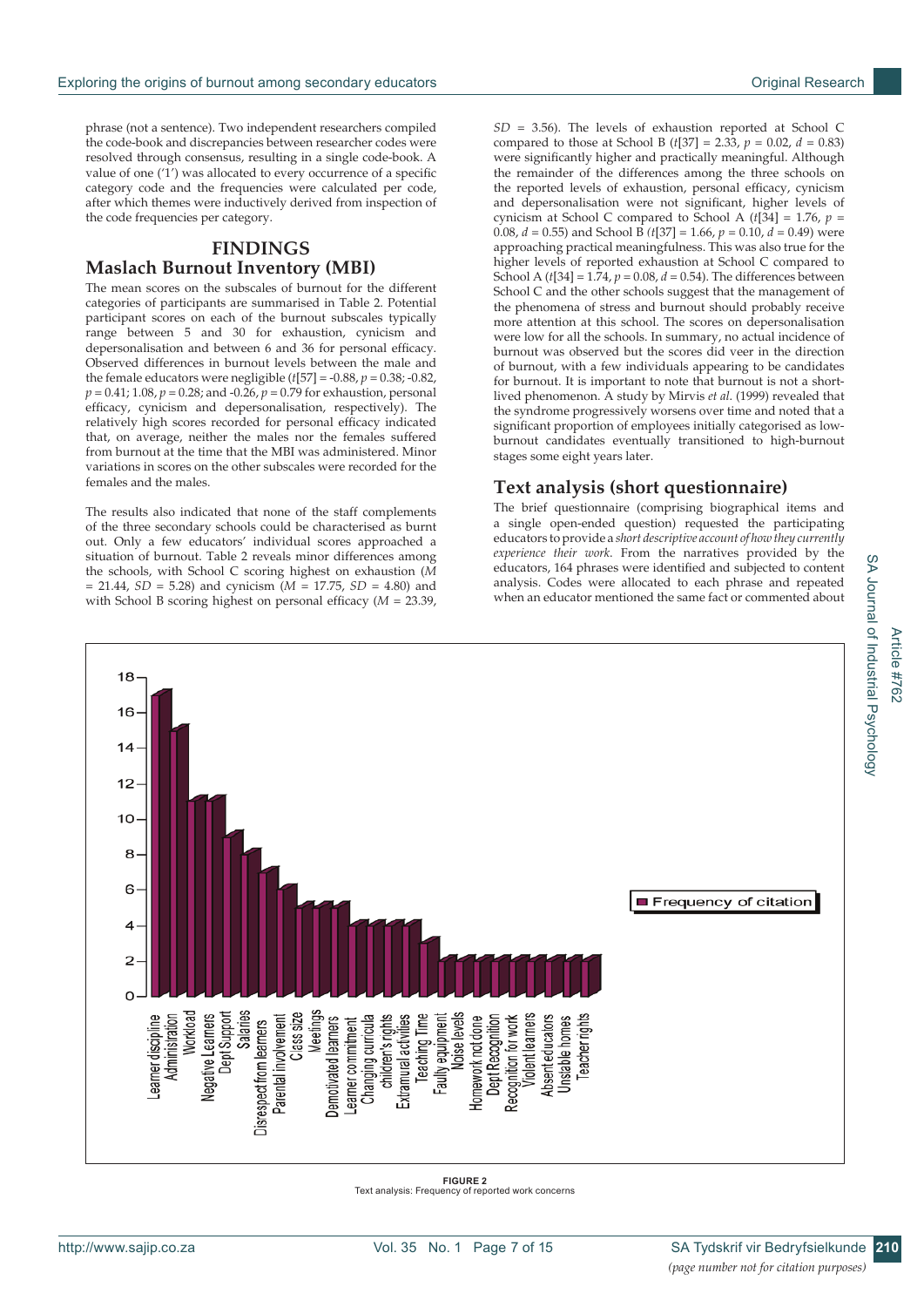phrase (not a sentence). Two independent researchers compiled the code-book and discrepancies between researcher codes were resolved through consensus, resulting in a single code-book. A value of one ('1') was allocated to every occurrence of a specific category code and the frequencies were calculated per code, after which themes were inductively derived from inspection of the code frequencies per category.

# **FINDINGS Maslach Burnout Inventory (MBI)**

The mean scores on the subscales of burnout for the different categories of participants are summarised in Table 2. Potential participant scores on each of the burnout subscales typically range between 5 and 30 for exhaustion, cynicism and depersonalisation and between 6 and 36 for personal efficacy. Observed differences in burnout levels between the male and the female educators were negligible  $(t[57] = -0.88, p = 0.38; -0.82,$ *p* = 0.41; 1.08, *p* = 0.28; and -0.26, *p* = 0.79 for exhaustion, personal efficacy, cynicism and depersonalisation, respectively). The relatively high scores recorded for personal efficacy indicated that, on average, neither the males nor the females suffered from burnout at the time that the MBI was administered. Minor variations in scores on the other subscales were recorded for the females and the males.

The results also indicated that none of the staff complements of the three secondary schools could be characterised as burnt out. Only a few educators' individual scores approached a situation of burnout. Table 2 reveals minor differences among the schools, with School C scoring highest on exhaustion (*M* = 21.44, *SD* = 5.28) and cynicism (*M* = 17.75, *SD* = 4.80) and with School B scoring highest on personal efficacy (*M* = 23.39, *SD* = 3.56). The levels of exhaustion reported at School C compared to those at School B ( $t[37] = 2.33$ ,  $p = 0.02$ ,  $d = 0.83$ ) were significantly higher and practically meaningful. Although the remainder of the differences among the three schools on the reported levels of exhaustion, personal efficacy, cynicism and depersonalisation were not significant, higher levels of cynicism at School C compared to School A  $(t[34] = 1.76, p =$ 0.08, *d* = 0.55) and School B *(t*[37] = 1.66, *p* = 0.10, *d* = 0.49) were approaching practical meaningfulness. This was also true for the higher levels of reported exhaustion at School C compared to School A (*t*[34] = 1.74, *p* = 0.08, *d* = 0.54). The differences between School C and the other schools suggest that the management of the phenomena of stress and burnout should probably receive more attention at this school. The scores on depersonalisation were low for all the schools. In summary, no actual incidence of burnout was observed but the scores did veer in the direction of burnout, with a few individuals appearing to be candidates for burnout. It is important to note that burnout is not a shortlived phenomenon. A study by Mirvis *et al*. (1999) revealed that the syndrome progressively worsens over time and noted that a significant proportion of employees initially categorised as lowburnout candidates eventually transitioned to high-burnout stages some eight years later.

# **Text analysis (short questionnaire)**

The brief questionnaire (comprising biographical items and a single open-ended question) requested the participating educators to provide a *short descriptive account of how they currently experience their work*. From the narratives provided by the educators, 164 phrases were identified and subjected to content analysis. Codes were allocated to each phrase and repeated when an educator mentioned the same fact or commented about



**FIGURE 2** Text analysis: Frequency of reported work concerns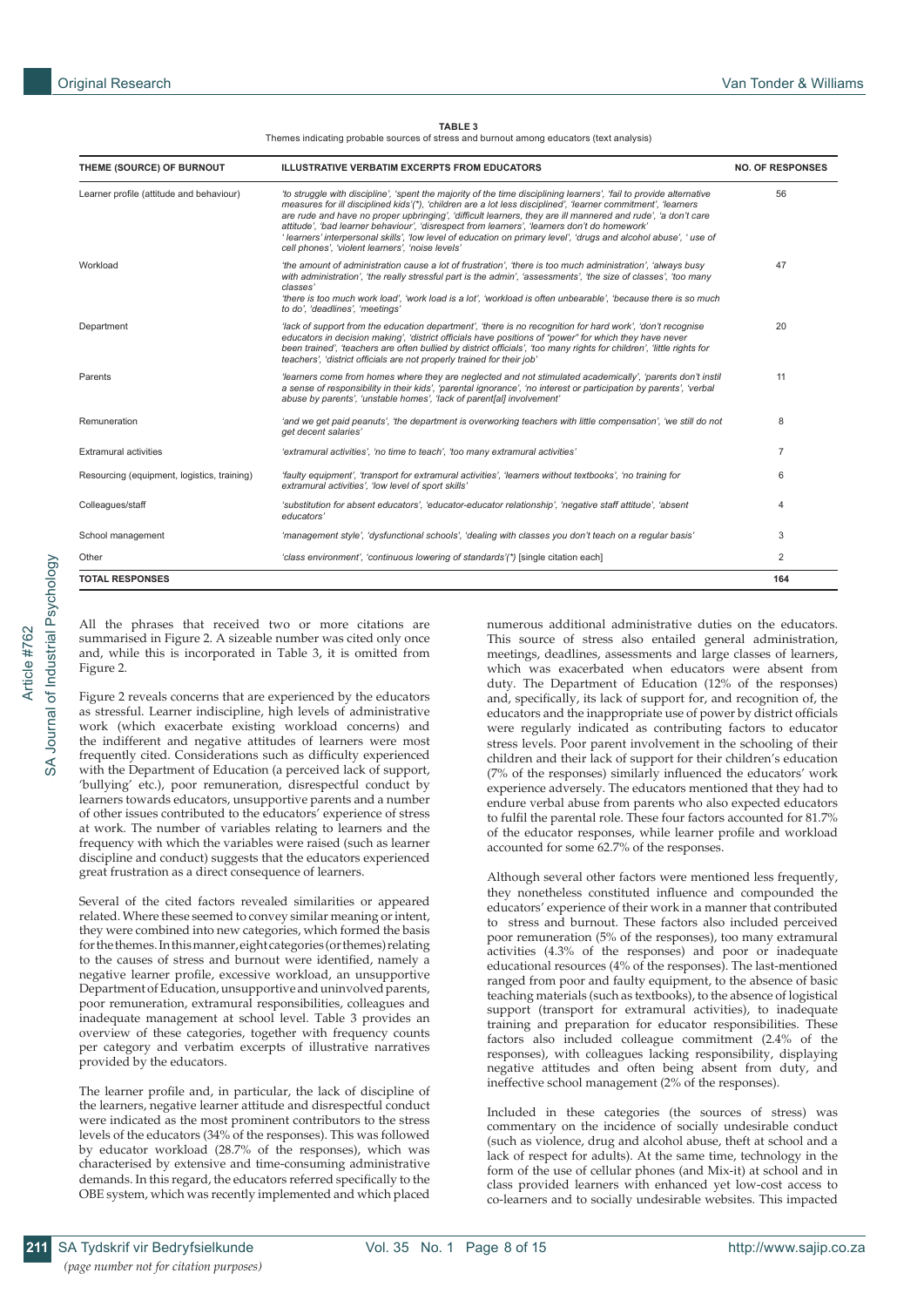| <b>TABLE 3</b>                                                                           |
|------------------------------------------------------------------------------------------|
| Themes indicating probable sources of stress and burnout among educators (text analysis) |

| THEME (SOURCE) OF BURNOUT                   | <b>ILLUSTRATIVE VERBATIM EXCERPTS FROM EDUCATORS</b>                                                                                                                                                                                                                                                                                                                                                                                                                                                                                                                                                                         | <b>NO. OF RESPONSES</b> |
|---------------------------------------------|------------------------------------------------------------------------------------------------------------------------------------------------------------------------------------------------------------------------------------------------------------------------------------------------------------------------------------------------------------------------------------------------------------------------------------------------------------------------------------------------------------------------------------------------------------------------------------------------------------------------------|-------------------------|
| Learner profile (attitude and behaviour)    | 'to struggle with discipline', 'spent the majority of the time disciplining learners', 'fail to provide alternative<br>measures for ill disciplined kids'(*), 'children are a lot less disciplined', 'learner commitment', 'learners<br>are rude and have no proper upbringing', 'difficult learners, they are ill mannered and rude', 'a don't care<br>attitude', 'bad learner behaviour', 'disrespect from learners', 'learners don't do homework'<br>' learners' interpersonal skills', 'low level of education on primary level', 'drugs and alcohol abuse', 'use of<br>cell phones', 'violent learners', 'noise levels' | 56                      |
| Workload                                    | 'the amount of administration cause a lot of frustration', 'there is too much administration', 'always busy<br>with administration', 'the really stressful part is the admin', 'assessments', 'the size of classes', 'too many<br>classes'<br>'there is too much work load', 'work load is a lot', 'workload is often unbearable', 'because there is so much<br>to do', 'deadlines', 'meetings'                                                                                                                                                                                                                              | 47                      |
| Department                                  | 'lack of support from the education department', 'there is no recognition for hard work', 'don't recognise<br>educators in decision making', 'district officials have positions of "power" for which they have never<br>been trained', 'teachers are often bullied by district officials', 'too many rights for children', 'little rights for<br>teachers', 'district officials are not properly trained for their job'                                                                                                                                                                                                      | 20                      |
| Parents                                     | 'learners come from homes where they are neglected and not stimulated academically', 'parents don't instil<br>a sense of responsibility in their kids', 'parental ignorance', 'no interest or participation by parents', 'verbal<br>abuse by parents', 'unstable homes', 'lack of parent[al] involvement'                                                                                                                                                                                                                                                                                                                    | 11                      |
| Remuneration                                | 'and we get paid peanuts', 'the department is overworking teachers with little compensation', 'we still do not<br>get decent salaries'                                                                                                                                                                                                                                                                                                                                                                                                                                                                                       | 8                       |
| <b>Extramural activities</b>                | 'extramural activities', 'no time to teach', 'too many extramural activities'                                                                                                                                                                                                                                                                                                                                                                                                                                                                                                                                                | $\overline{7}$          |
| Resourcing (equipment, logistics, training) | 'faulty equipment', 'transport for extramural activities', 'learners without textbooks', 'no training for<br>extramural activities', 'low level of sport skills'                                                                                                                                                                                                                                                                                                                                                                                                                                                             | 6                       |
| Colleagues/staff                            | 'substitution for absent educators', 'educator-educator relationship', 'negative staff attitude', 'absent<br>educators'                                                                                                                                                                                                                                                                                                                                                                                                                                                                                                      | 4                       |
| School management                           | 'management style', 'dysfunctional schools', 'dealing with classes you don't teach on a regular basis'                                                                                                                                                                                                                                                                                                                                                                                                                                                                                                                       | 3                       |
| Other                                       | 'class environment', 'continuous lowering of standards'(*) [single citation each]                                                                                                                                                                                                                                                                                                                                                                                                                                                                                                                                            | $\overline{2}$          |
| <b>TOTAL RESPONSES</b>                      |                                                                                                                                                                                                                                                                                                                                                                                                                                                                                                                                                                                                                              | 164                     |

All the phrases that received two or more citations are summarised in Figure 2. A sizeable number was cited only once and, while this is incorporated in Table 3, it is omitted from Figure 2.

Figure 2 reveals concerns that are experienced by the educators as stressful. Learner indiscipline, high levels of administrative work (which exacerbate existing workload concerns) and the indifferent and negative attitudes of learners were most frequently cited. Considerations such as difficulty experienced with the Department of Education (a perceived lack of support, 'bullying' etc.), poor remuneration, disrespectful conduct by learners towards educators, unsupportive parents and a number of other issues contributed to the educators' experience of stress at work. The number of variables relating to learners and the frequency with which the variables were raised (such as learner discipline and conduct) suggests that the educators experienced great frustration as a direct consequence of learners.

Several of the cited factors revealed similarities or appeared related. Where these seemed to convey similar meaning or intent, they were combined into new categories, which formed the basis for the themes. In this manner, eight categories (or themes) relating to the causes of stress and burnout were identified, namely a negative learner profile, excessive workload, an unsupportive Department of Education, unsupportive and uninvolved parents, poor remuneration, extramural responsibilities, colleagues and inadequate management at school level. Table 3 provides an overview of these categories, together with frequency counts per category and verbatim excerpts of illustrative narratives provided by the educators.

The learner profile and, in particular, the lack of discipline of the learners, negative learner attitude and disrespectful conduct were indicated as the most prominent contributors to the stress levels of the educators (34% of the responses). This was followed by educator workload (28.7% of the responses), which was characterised by extensive and time-consuming administrative demands. In this regard, the educators referred specifically to the OBE system, which was recently implemented and which placed

numerous additional administrative duties on the educators. This source of stress also entailed general administration, meetings, deadlines, assessments and large classes of learners, which was exacerbated when educators were absent from duty. The Department of Education (12% of the responses) and, specifically, its lack of support for, and recognition of, the educators and the inappropriate use of power by district officials were regularly indicated as contributing factors to educator stress levels. Poor parent involvement in the schooling of their children and their lack of support for their children's education (7% of the responses) similarly influenced the educators' work experience adversely. The educators mentioned that they had to endure verbal abuse from parents who also expected educators to fulfil the parental role. These four factors accounted for 81.7% of the educator responses, while learner profile and workload accounted for some 62.7% of the responses.

Although several other factors were mentioned less frequently, they nonetheless constituted influence and compounded the educators' experience of their work in a manner that contributed to stress and burnout. These factors also included perceived poor remuneration (5% of the responses), too many extramural activities (4.3% of the responses) and poor or inadequate educational resources (4% of the responses). The last-mentioned ranged from poor and faulty equipment, to the absence of basic teaching materials (such as textbooks), to the absence of logistical support (transport for extramural activities), to inadequate training and preparation for educator responsibilities. These factors also included colleague commitment (2.4% of the responses), with colleagues lacking responsibility, displaying negative attitudes and often being absent from duty, and ineffective school management (2% of the responses).

Included in these categories (the sources of stress) was commentary on the incidence of socially undesirable conduct (such as violence, drug and alcohol abuse, theft at school and a lack of respect for adults). At the same time, technology in the form of the use of cellular phones (and Mix-it) at school and in class provided learners with enhanced yet low-cost access to co-learners and to socially undesirable websites. This impacted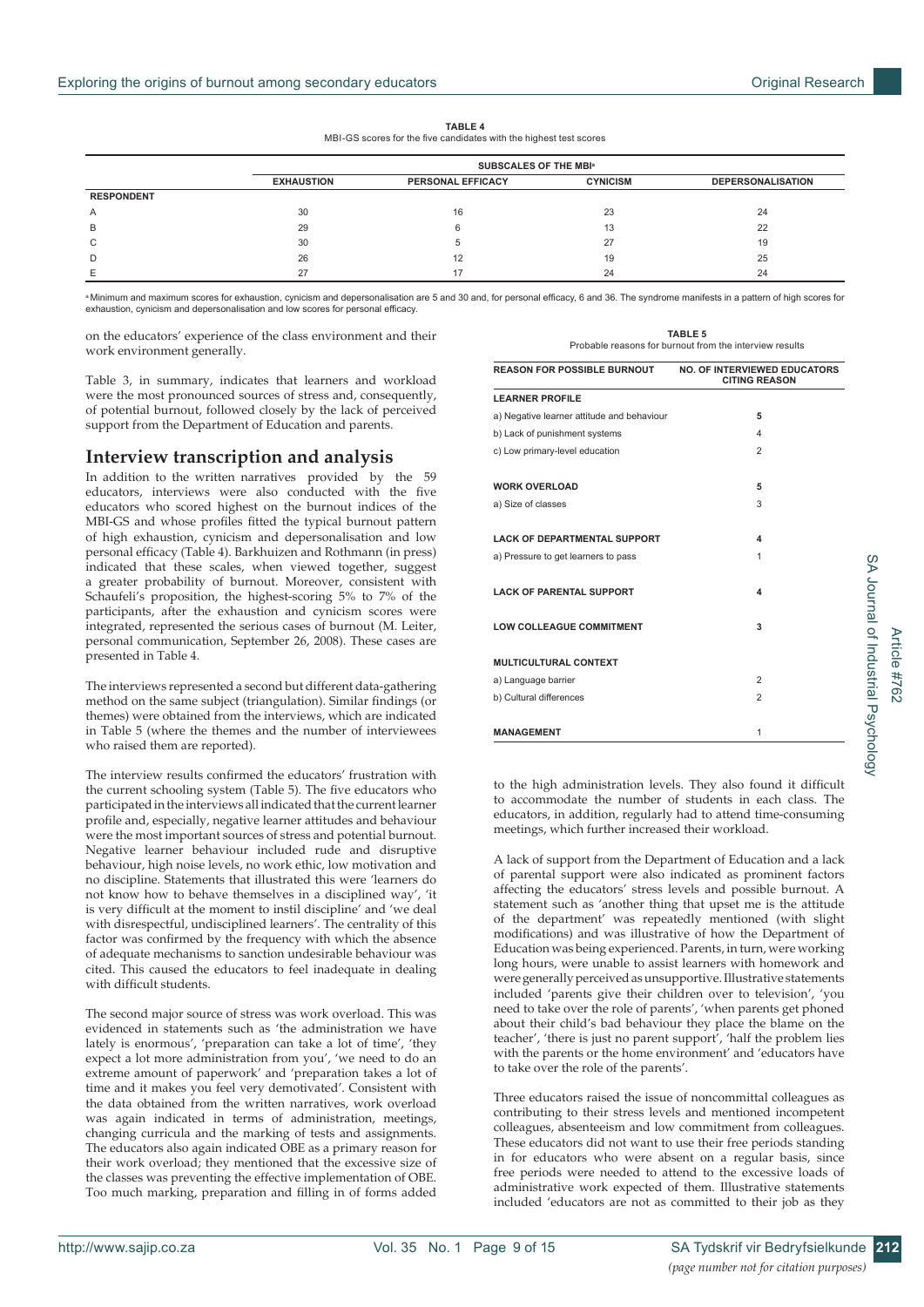| <b>TABLE 4</b>                                                     |
|--------------------------------------------------------------------|
| MBI-GS scores for the five candidates with the highest test scores |

|                   | SUBSCALES OF THE MBI <sup>®</sup> |                   |                 |                          |  |  |
|-------------------|-----------------------------------|-------------------|-----------------|--------------------------|--|--|
|                   | <b>EXHAUSTION</b>                 | PERSONAL EFFICACY | <b>CYNICISM</b> | <b>DEPERSONALISATION</b> |  |  |
| <b>RESPONDENT</b> |                                   |                   |                 |                          |  |  |
| $\overline{A}$    | 30                                | 16                | 23              | 24                       |  |  |
| B                 | 29                                |                   | 13              | 22                       |  |  |
|                   | 30                                |                   | 27              | 19                       |  |  |
|                   | 26                                | 12                | 19              | 25                       |  |  |
|                   | $\sim$                            |                   | 24              | 24                       |  |  |

<sup>a</sup> Minimum and maximum scores for exhaustion, cynicism and depersonalisation are 5 and 30 and, for personal efficacy, 6 and 36. The syndrome manifests in a pattern of high scores for exhaustion, cynicism and depersonalisation and low scores for personal efficacy.

on the educators' experience of the class environment and their work environment generally.

| <b>TABLE 5</b>                                          |  |
|---------------------------------------------------------|--|
| Probable reasons for burnout from the interview results |  |

Table 3, in summary, indicates that learners and workload were the most pronounced sources of stress and, consequently, of potential burnout, followed closely by the lack of perceived support from the Department of Education and parents.

## **Interview transcription and analysis**

In addition to the written narratives provided by the 59 educators, interviews were also conducted with the five educators who scored highest on the burnout indices of the MBI-GS and whose profiles fitted the typical burnout pattern of high exhaustion, cynicism and depersonalisation and low personal efficacy (Table 4). Barkhuizen and Rothmann (in press) indicated that these scales, when viewed together, suggest a greater probability of burnout. Moreover, consistent with Schaufeli's proposition, the highest-scoring 5% to 7% of the participants, after the exhaustion and cynicism scores were integrated, represented the serious cases of burnout (M. Leiter, personal communication, September 26, 2008). These cases are presented in Table 4.

The interviews represented a second but different data-gathering method on the same subject (triangulation). Similar findings (or themes) were obtained from the interviews, which are indicated in Table 5 (where the themes and the number of interviewees who raised them are reported).

is a property of the state of the state of the state of the state of the state of the state of the state of the state of the state of the state of the state of the state of the state of the state of the state of the state The interview results confirmed the educators' frustration with the current schooling system (Table 5). The five educators who participated in the interviews all indicated that the current learner profile and, especially, negative learner attitudes and behaviour were the most important sources of stress and potential burnout. Negative learner behaviour included rude and disruptive behaviour, high noise levels, no work ethic, low motivation and no discipline. Statements that illustrated this were 'learners do not know how to behave themselves in a disciplined way', 'it is very difficult at the moment to instil discipline' and 'we deal with disrespectful, undisciplined learners'. The centrality of this factor was confirmed by the frequency with which the absence of adequate mechanisms to sanction undesirable behaviour was cited. This caused the educators to feel inadequate in dealing with difficult students.

The second major source of stress was work overload. This was evidenced in statements such as 'the administration we have lately is enormous', 'preparation can take a lot of time', 'they expect a lot more administration from you', 'we need to do an extreme amount of paperwork' and 'preparation takes a lot of time and it makes you feel very demotivated'. Consistent with the data obtained from the written narratives, work overload was again indicated in terms of administration, meetings, changing curricula and the marking of tests and assignments. The educators also again indicated OBE as a primary reason for their work overload; they mentioned that the excessive size of the classes was preventing the effective implementation of OBE. Too much marking, preparation and filling in of forms added

| <b>REASON FOR POSSIBLE BURNOUT</b>         | <b>NO. OF INTERVIEWED EDUCATORS</b><br><b>CITING REASON</b> |
|--------------------------------------------|-------------------------------------------------------------|
| <b>LEARNER PROFILE</b>                     |                                                             |
| a) Negative learner attitude and behaviour | 5                                                           |
| b) Lack of punishment systems              | 4                                                           |
| c) Low primary-level education             | $\overline{2}$                                              |
| <b>WORK OVERLOAD</b>                       | 5                                                           |
| a) Size of classes                         | 3                                                           |
| <b>LACK OF DEPARTMENTAL SUPPORT</b>        | $\overline{\mathbf{4}}$                                     |
| a) Pressure to get learners to pass        | 1                                                           |
| <b>LACK OF PARENTAL SUPPORT</b>            | 4                                                           |
| <b>LOW COLLEAGUE COMMITMENT</b>            | 3                                                           |
| <b>MULTICULTURAL CONTEXT</b>               |                                                             |
| a) Language barrier                        | $\overline{2}$                                              |
| b) Cultural differences                    | $\overline{2}$                                              |
| <b>MANAGEMENT</b>                          | 1                                                           |

to the high administration levels. They also found it difficult to accommodate the number of students in each class. The educators, in addition, regularly had to attend time-consuming meetings, which further increased their workload.

A lack of support from the Department of Education and a lack of parental support were also indicated as prominent factors affecting the educators' stress levels and possible burnout. A statement such as 'another thing that upset me is the attitude of the department' was repeatedly mentioned (with slight modifications) and was illustrative of how the Department of Education was being experienced. Parents, in turn, were working long hours, were unable to assist learners with homework and were generally perceived as unsupportive. Illustrative statements included 'parents give their children over to television', 'you need to take over the role of parents', 'when parents get phoned about their child's bad behaviour they place the blame on the teacher', 'there is just no parent support', 'half the problem lies with the parents or the home environment' and 'educators have to take over the role of the parents'.

Three educators raised the issue of noncommittal colleagues as contributing to their stress levels and mentioned incompetent colleagues, absenteeism and low commitment from colleagues. These educators did not want to use their free periods standing in for educators who were absent on a regular basis, since free periods were needed to attend to the excessive loads of administrative work expected of them. Illustrative statements included 'educators are not as committed to their job as they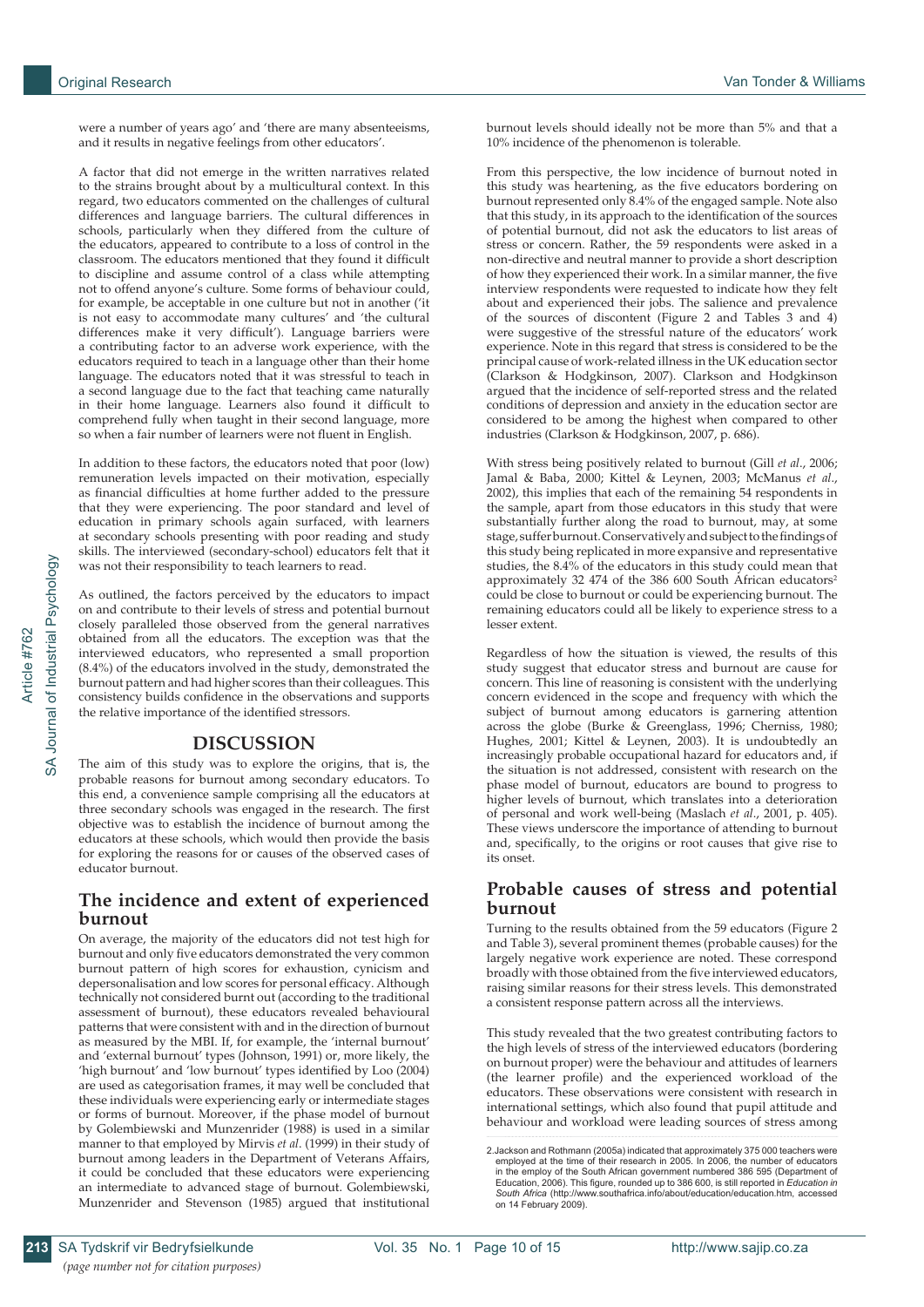were a number of years ago' and 'there are many absenteeisms, and it results in negative feelings from other educators'.

A factor that did not emerge in the written narratives related to the strains brought about by a multicultural context. In this regard, two educators commented on the challenges of cultural differences and language barriers. The cultural differences in schools, particularly when they differed from the culture of the educators, appeared to contribute to a loss of control in the classroom. The educators mentioned that they found it difficult to discipline and assume control of a class while attempting not to offend anyone's culture. Some forms of behaviour could, for example, be acceptable in one culture but not in another ('it is not easy to accommodate many cultures' and 'the cultural differences make it very difficult'). Language barriers were a contributing factor to an adverse work experience, with the educators required to teach in a language other than their home language. The educators noted that it was stressful to teach in a second language due to the fact that teaching came naturally in their home language. Learners also found it difficult to comprehend fully when taught in their second language, more so when a fair number of learners were not fluent in English.

In addition to these factors, the educators noted that poor (low) remuneration levels impacted on their motivation, especially as financial difficulties at home further added to the pressure that they were experiencing. The poor standard and level of education in primary schools again surfaced, with learners at secondary schools presenting with poor reading and study skills. The interviewed (secondary-school) educators felt that it was not their responsibility to teach learners to read.

As outlined, the factors perceived by the educators to impact on and contribute to their levels of stress and potential burnout closely paralleled those observed from the general narratives obtained from all the educators. The exception was that the interviewed educators, who represented a small proportion (8.4%) of the educators involved in the study, demonstrated the burnout pattern and had higher scores than their colleagues. This consistency builds confidence in the observations and supports the relative importance of the identified stressors.

## **Discussion**

The aim of this study was to explore the origins, that is, the probable reasons for burnout among secondary educators. To this end, a convenience sample comprising all the educators at three secondary schools was engaged in the research. The first objective was to establish the incidence of burnout among the educators at these schools, which would then provide the basis for exploring the reasons for or causes of the observed cases of educator burnout.

## **The incidence and extent of experienced burnout**

On average, the majority of the educators did not test high for burnout and only five educators demonstrated the very common burnout pattern of high scores for exhaustion, cynicism and depersonalisation and low scores for personal efficacy. Although technically not considered burnt out (according to the traditional assessment of burnout), these educators revealed behavioural patterns that were consistent with and in the direction of burnout as measured by the MBI. If, for example, the 'internal burnout' and 'external burnout' types (Johnson, 1991) or, more likely, the 'high burnout' and 'low burnout' types identified by Loo (2004) are used as categorisation frames, it may well be concluded that these individuals were experiencing early or intermediate stages or forms of burnout. Moreover, if the phase model of burnout by Golembiewski and Munzenrider (1988) is used in a similar manner to that employed by Mirvis *et al*. (1999) in their study of burnout among leaders in the Department of Veterans Affairs, it could be concluded that these educators were experiencing an intermediate to advanced stage of burnout. Golembiewski, Munzenrider and Stevenson (1985) argued that institutional

burnout levels should ideally not be more than 5% and that a 10% incidence of the phenomenon is tolerable.

From this perspective, the low incidence of burnout noted in this study was heartening, as the five educators bordering on burnout represented only 8.4% of the engaged sample. Note also that this study, in its approach to the identification of the sources of potential burnout, did not ask the educators to list areas of stress or concern. Rather, the 59 respondents were asked in a non-directive and neutral manner to provide a short description of how they experienced their work. In a similar manner, the five interview respondents were requested to indicate how they felt about and experienced their jobs. The salience and prevalence of the sources of discontent (Figure 2 and Tables 3 and 4) were suggestive of the stressful nature of the educators' work experience. Note in this regard that stress is considered to be the principal cause of work-related illness in the UK education sector (Clarkson & Hodgkinson, 2007). Clarkson and Hodgkinson argued that the incidence of self-reported stress and the related conditions of depression and anxiety in the education sector are considered to be among the highest when compared to other industries (Clarkson & Hodgkinson, 2007, p. 686).

With stress being positively related to burnout (Gill *et al*., 2006; Jamal & Baba, 2000; Kittel & Leynen, 2003; McManus *et al*., 2002), this implies that each of the remaining 54 respondents in the sample, apart from those educators in this study that were substantially further along the road to burnout, may, at some stage, suffer burnout. Conservatively and subject to the findings of this study being replicated in more expansive and representative studies, the 8.4% of the educators in this study could mean that approximately 32 474 of the 386 600 South African educators<sup>2</sup> could be close to burnout or could be experiencing burnout. The remaining educators could all be likely to experience stress to a lesser extent.

Regardless of how the situation is viewed, the results of this study suggest that educator stress and burnout are cause for concern. This line of reasoning is consistent with the underlying concern evidenced in the scope and frequency with which the subject of burnout among educators is garnering attention across the globe (Burke & Greenglass, 1996; Cherniss, 1980; Hughes, 2001; Kittel & Leynen, 2003). It is undoubtedly an increasingly probable occupational hazard for educators and, if the situation is not addressed, consistent with research on the phase model of burnout, educators are bound to progress to higher levels of burnout, which translates into a deterioration of personal and work well-being (Maslach *et al*., 2001, p. 405). These views underscore the importance of attending to burnout and, specifically, to the origins or root causes that give rise to its onset.

## **Probable causes of stress and potential burnout**

Turning to the results obtained from the 59 educators (Figure 2 and Table 3), several prominent themes (probable causes) for the largely negative work experience are noted. These correspond broadly with those obtained from the five interviewed educators, raising similar reasons for their stress levels. This demonstrated a consistent response pattern across all the interviews.

This study revealed that the two greatest contributing factors to the high levels of stress of the interviewed educators (bordering on burnout proper) were the behaviour and attitudes of learners (the learner profile) and the experienced workload of the educators. These observations were consistent with research in international settings, which also found that pupil attitude and behaviour and workload were leading sources of stress among

<sup>2.</sup>Jackson and Rothmann (2005a) indicated that approximately 375 000 teachers were employed at the time of their research in 2005. In 2006, the number of educators<br>in the employ of the South African government numbered 386 595 (Department of<br>Education, 2006). This figure, rounded up to 386 600, is still *South Africa* (http://www.southafrica.info/about/education/education.htm, accessed on 14 February 2009).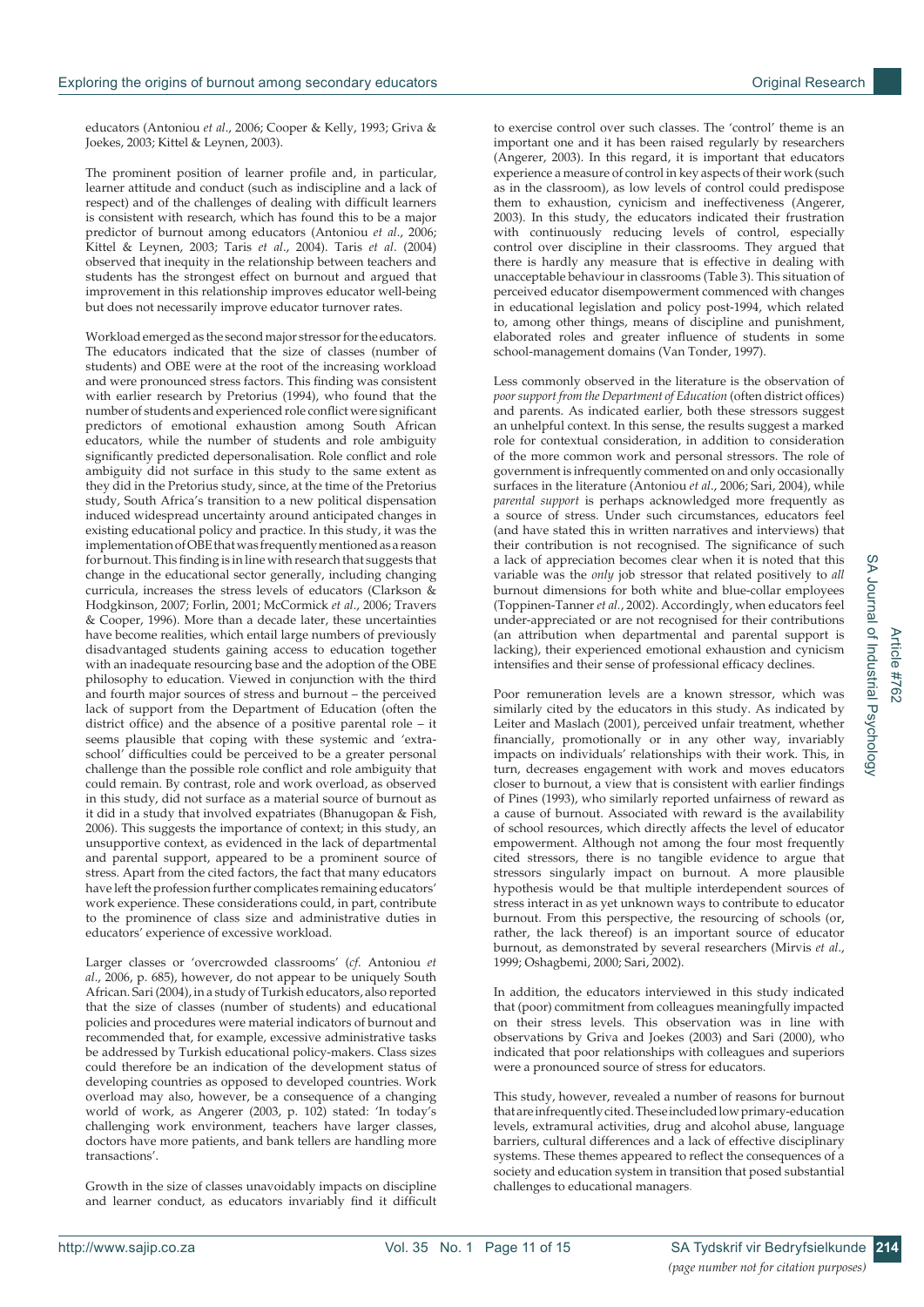educators (Antoniou *et al*., 2006; Cooper & Kelly, 1993; Griva & Joekes, 2003; Kittel & Leynen, 2003).

The prominent position of learner profile and, in particular, learner attitude and conduct (such as indiscipline and a lack of respect) and of the challenges of dealing with difficult learners is consistent with research, which has found this to be a major predictor of burnout among educators (Antoniou *et al*., 2006; Kittel & Leynen, 2003; Taris *et al*., 2004). Taris *et al*. (2004) observed that inequity in the relationship between teachers and students has the strongest effect on burnout and argued that improvement in this relationship improves educator well-being but does not necessarily improve educator turnover rates.

Workload emerged as the second major stressor for the educators. The educators indicated that the size of classes (number of students) and OBE were at the root of the increasing workload and were pronounced stress factors. This finding was consistent with earlier research by Pretorius (1994), who found that the number of students and experienced role conflict were significant predictors of emotional exhaustion among South African educators, while the number of students and role ambiguity significantly predicted depersonalisation. Role conflict and role ambiguity did not surface in this study to the same extent as they did in the Pretorius study, since, at the time of the Pretorius study, South Africa's transition to a new political dispensation induced widespread uncertainty around anticipated changes in existing educational policy and practice. In this study, it was the implementation of OBE that was frequently mentioned as a reason for burnout. This finding is in line with research that suggests that change in the educational sector generally, including changing curricula, increases the stress levels of educators (Clarkson & Hodgkinson, 2007; Forlin, 2001; McCormick *et al*., 2006; Travers & Cooper, 1996). More than a decade later, these uncertainties have become realities, which entail large numbers of previously disadvantaged students gaining access to education together with an inadequate resourcing base and the adoption of the OBE philosophy to education. Viewed in conjunction with the third and fourth major sources of stress and burnout – the perceived lack of support from the Department of Education (often the district office) and the absence of a positive parental role – it seems plausible that coping with these systemic and 'extraschool' difficulties could be perceived to be a greater personal challenge than the possible role conflict and role ambiguity that could remain. By contrast, role and work overload, as observed in this study, did not surface as a material source of burnout as it did in a study that involved expatriates (Bhanugopan & Fish, 2006). This suggests the importance of context; in this study, an unsupportive context, as evidenced in the lack of departmental and parental support, appeared to be a prominent source of stress. Apart from the cited factors, the fact that many educators have left the profession further complicates remaining educators' work experience. These considerations could, in part, contribute to the prominence of class size and administrative duties in educators' experience of excessive workload.

Larger classes or 'overcrowded classrooms' (*cf*. Antoniou *et al*., 2006, p. 685), however, do not appear to be uniquely South African. Sari (2004), in a study of Turkish educators, also reported that the size of classes (number of students) and educational policies and procedures were material indicators of burnout and recommended that, for example, excessive administrative tasks be addressed by Turkish educational policy-makers. Class sizes could therefore be an indication of the development status of developing countries as opposed to developed countries. Work overload may also, however, be a consequence of a changing world of work, as Angerer (2003, p. 102) stated: 'In today's challenging work environment, teachers have larger classes, doctors have more patients, and bank tellers are handling more transactions'.

Growth in the size of classes unavoidably impacts on discipline and learner conduct, as educators invariably find it difficult

to exercise control over such classes. The 'control' theme is an important one and it has been raised regularly by researchers (Angerer, 2003). In this regard, it is important that educators experience a measure of control in key aspects of their work (such as in the classroom), as low levels of control could predispose them to exhaustion, cynicism and ineffectiveness (Angerer, 2003). In this study, the educators indicated their frustration with continuously reducing levels of control, especially control over discipline in their classrooms. They argued that there is hardly any measure that is effective in dealing with unacceptable behaviour in classrooms (Table 3). This situation of perceived educator disempowerment commenced with changes in educational legislation and policy post-1994, which related to, among other things, means of discipline and punishment, elaborated roles and greater influence of students in some school-management domains (Van Tonder, 1997).

Less commonly observed in the literature is the observation of *poor support from the Department of Education* (often district offices) and parents. As indicated earlier, both these stressors suggest an unhelpful context. In this sense, the results suggest a marked role for contextual consideration, in addition to consideration of the more common work and personal stressors. The role of government is infrequently commented on and only occasionally surfaces in the literature (Antoniou *et al*., 2006; Sari, 2004), while *parental support* is perhaps acknowledged more frequently as a source of stress. Under such circumstances, educators feel (and have stated this in written narratives and interviews) that their contribution is not recognised. The significance of such a lack of appreciation becomes clear when it is noted that this variable was the *only* job stressor that related positively to *all* burnout dimensions for both white and blue-collar employees (Toppinen-Tanner *et al.*, 2002). Accordingly, when educators feel under-appreciated or are not recognised for their contributions (an attribution when departmental and parental support is lacking), their experienced emotional exhaustion and cynicism intensifies and their sense of professional efficacy declines.

Poor remuneration levels are a known stressor, which was similarly cited by the educators in this study. As indicated by Leiter and Maslach (2001), perceived unfair treatment, whether financially, promotionally or in any other way, invariably impacts on individuals' relationships with their work. This, in turn, decreases engagement with work and moves educators closer to burnout, a view that is consistent with earlier findings of Pines (1993), who similarly reported unfairness of reward as a cause of burnout. Associated with reward is the availability of school resources, which directly affects the level of educator empowerment. Although not among the four most frequently cited stressors, there is no tangible evidence to argue that stressors singularly impact on burnout. A more plausible hypothesis would be that multiple interdependent sources of stress interact in as yet unknown ways to contribute to educator burnout. From this perspective, the resourcing of schools (or, rather, the lack thereof) is an important source of educator burnout, as demonstrated by several researchers (Mirvis *et al*., 1999; Oshagbemi, 2000; Sari, 2002).

In addition, the educators interviewed in this study indicated that (poor) commitment from colleagues meaningfully impacted on their stress levels. This observation was in line with observations by Griva and Joekes (2003) and Sari (2000), who indicated that poor relationships with colleagues and superiors were a pronounced source of stress for educators.

This study, however, revealed a number of reasons for burnout that are infrequently cited. These included low primary-education levels, extramural activities, drug and alcohol abuse, language barriers, cultural differences and a lack of effective disciplinary systems. These themes appeared to reflect the consequences of a society and education system in transition that posed substantial challenges to educational managers.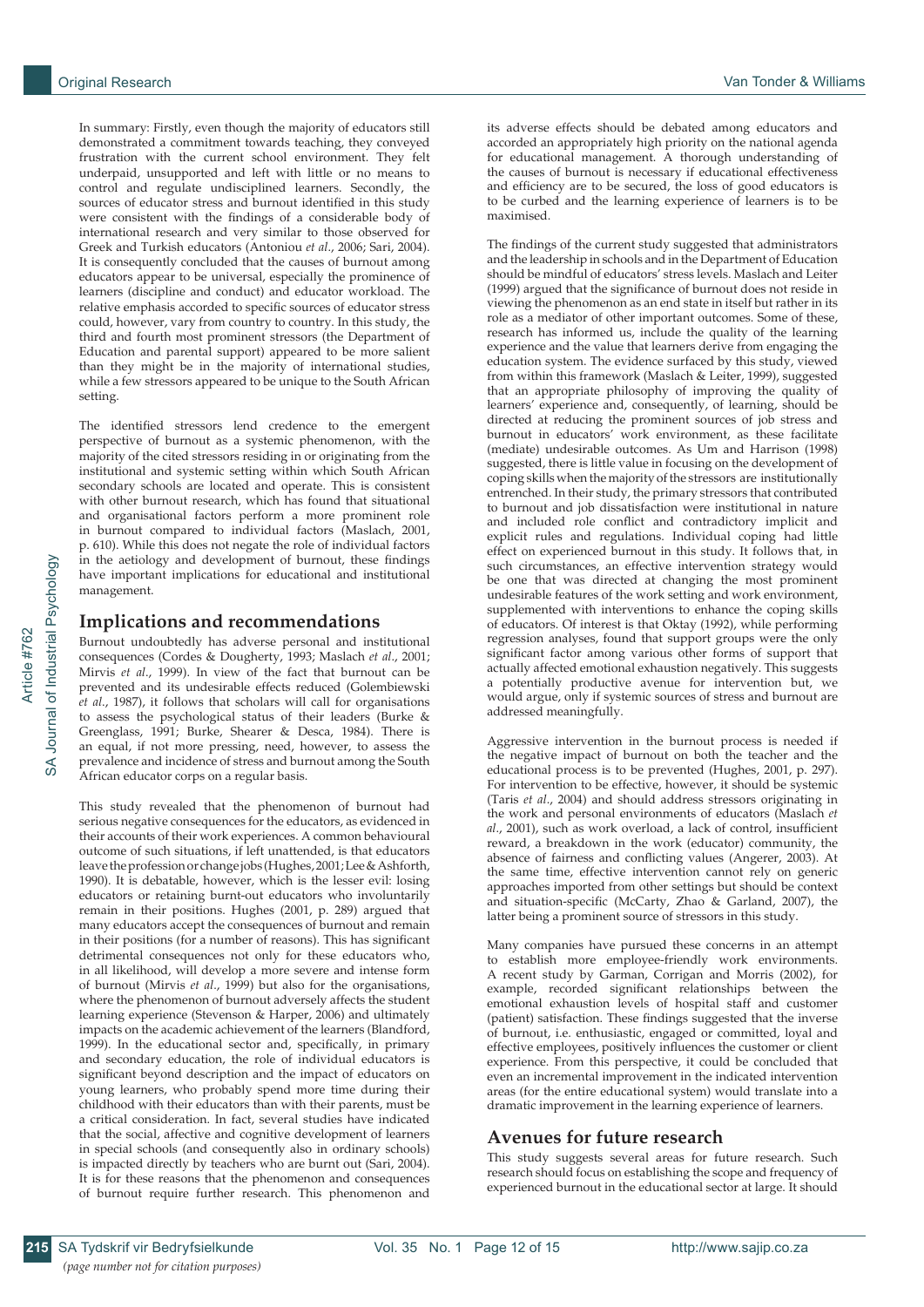In summary: Firstly, even though the majority of educators still demonstrated a commitment towards teaching, they conveyed frustration with the current school environment. They felt underpaid, unsupported and left with little or no means to control and regulate undisciplined learners. Secondly, the sources of educator stress and burnout identified in this study were consistent with the findings of a considerable body of international research and very similar to those observed for Greek and Turkish educators (Antoniou *et al*., 2006; Sari, 2004). It is consequently concluded that the causes of burnout among educators appear to be universal, especially the prominence of learners (discipline and conduct) and educator workload. The relative emphasis accorded to specific sources of educator stress could, however, vary from country to country. In this study, the third and fourth most prominent stressors (the Department of Education and parental support) appeared to be more salient than they might be in the majority of international studies, while a few stressors appeared to be unique to the South African setting.

The identified stressors lend credence to the emergent perspective of burnout as a systemic phenomenon, with the majority of the cited stressors residing in or originating from the institutional and systemic setting within which South African secondary schools are located and operate. This is consistent with other burnout research, which has found that situational and organisational factors perform a more prominent role in burnout compared to individual factors (Maslach, 2001, p. 610). While this does not negate the role of individual factors in the aetiology and development of burnout, these findings have important implications for educational and institutional management.

## **Implications and recommendations**

Burnout undoubtedly has adverse personal and institutional consequences (Cordes & Dougherty, 1993; Maslach *et al*., 2001; Mirvis *et al*., 1999). In view of the fact that burnout can be prevented and its undesirable effects reduced (Golembiewski *et al*., 1987), it follows that scholars will call for organisations to assess the psychological status of their leaders (Burke & Greenglass, 1991; Burke, Shearer & Desca, 1984). There is an equal, if not more pressing, need, however, to assess the prevalence and incidence of stress and burnout among the South African educator corps on a regular basis.

This study revealed that the phenomenon of burnout had serious negative consequences for the educators, as evidenced in their accounts of their work experiences. A common behavioural outcome of such situations, if left unattended, is that educators leave the profession or change jobs (Hughes, 2001; Lee & Ashforth, 1990). It is debatable, however, which is the lesser evil: losing educators or retaining burnt-out educators who involuntarily remain in their positions. Hughes (2001, p. 289) argued that many educators accept the consequences of burnout and remain in their positions (for a number of reasons). This has significant detrimental consequences not only for these educators who, in all likelihood, will develop a more severe and intense form of burnout (Mirvis *et al*., 1999) but also for the organisations, where the phenomenon of burnout adversely affects the student learning experience (Stevenson & Harper, 2006) and ultimately impacts on the academic achievement of the learners (Blandford, 1999). In the educational sector and, specifically, in primary and secondary education, the role of individual educators is significant beyond description and the impact of educators on young learners, who probably spend more time during their childhood with their educators than with their parents, must be a critical consideration. In fact, several studies have indicated that the social, affective and cognitive development of learners in special schools (and consequently also in ordinary schools) is impacted directly by teachers who are burnt out (Sari, 2004). It is for these reasons that the phenomenon and consequences of burnout require further research. This phenomenon and

its adverse effects should be debated among educators and accorded an appropriately high priority on the national agenda for educational management. A thorough understanding of the causes of burnout is necessary if educational effectiveness and efficiency are to be secured, the loss of good educators is to be curbed and the learning experience of learners is to be maximised.

The findings of the current study suggested that administrators and the leadership in schools and in the Department of Education should be mindful of educators' stress levels. Maslach and Leiter (1999) argued that the significance of burnout does not reside in viewing the phenomenon as an end state in itself but rather in its role as a mediator of other important outcomes. Some of these, research has informed us, include the quality of the learning experience and the value that learners derive from engaging the education system. The evidence surfaced by this study, viewed from within this framework (Maslach & Leiter, 1999), suggested that an appropriate philosophy of improving the quality of learners' experience and, consequently, of learning, should be directed at reducing the prominent sources of job stress and burnout in educators' work environment, as these facilitate (mediate) undesirable outcomes. As Um and Harrison (1998) suggested, there is little value in focusing on the development of coping skills when the majority of the stressors are institutionally entrenched. In their study, the primary stressors that contributed to burnout and job dissatisfaction were institutional in nature and included role conflict and contradictory implicit and explicit rules and regulations. Individual coping had little effect on experienced burnout in this study. It follows that, in such circumstances, an effective intervention strategy would be one that was directed at changing the most prominent undesirable features of the work setting and work environment, supplemented with interventions to enhance the coping skills of educators. Of interest is that Oktay (1992), while performing regression analyses, found that support groups were the only significant factor among various other forms of support that actually affected emotional exhaustion negatively. This suggests a potentially productive avenue for intervention but, we would argue, only if systemic sources of stress and burnout are addressed meaningfully.

Aggressive intervention in the burnout process is needed if the negative impact of burnout on both the teacher and the educational process is to be prevented (Hughes, 2001, p. 297). For intervention to be effective, however, it should be systemic (Taris *et al*., 2004) and should address stressors originating in the work and personal environments of educators (Maslach *et al*., 2001), such as work overload, a lack of control, insufficient reward, a breakdown in the work (educator) community, the absence of fairness and conflicting values (Angerer, 2003). At the same time, effective intervention cannot rely on generic approaches imported from other settings but should be context and situation-specific (McCarty, Zhao & Garland, 2007), the latter being a prominent source of stressors in this study.

Many companies have pursued these concerns in an attempt to establish more employee-friendly work environments. A recent study by Garman, Corrigan and Morris (2002), for example, recorded significant relationships between the emotional exhaustion levels of hospital staff and customer (patient) satisfaction. These findings suggested that the inverse of burnout, i.e. enthusiastic, engaged or committed, loyal and effective employees, positively influences the customer or client experience. From this perspective, it could be concluded that even an incremental improvement in the indicated intervention areas (for the entire educational system) would translate into a dramatic improvement in the learning experience of learners.

## **Avenues for future research**

This study suggests several areas for future research. Such research should focus on establishing the scope and frequency of experienced burnout in the educational sector at large. It should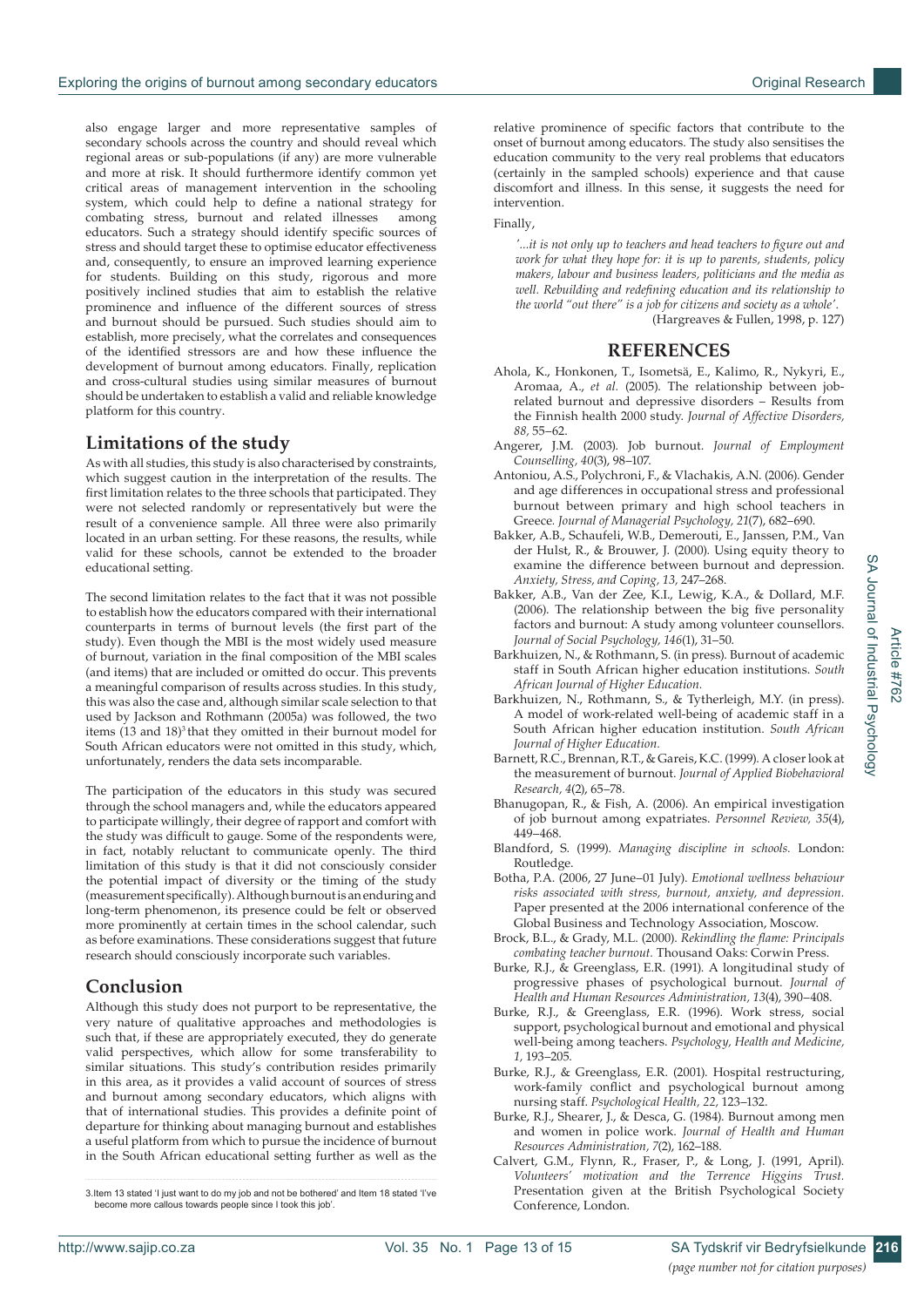also engage larger and more representative samples of secondary schools across the country and should reveal which regional areas or sub-populations (if any) are more vulnerable and more at risk. It should furthermore identify common yet critical areas of management intervention in the schooling system, which could help to define a national strategy for combating stress, burnout and related illnesses among educators. Such a strategy should identify specific sources of stress and should target these to optimise educator effectiveness and, consequently, to ensure an improved learning experience for students. Building on this study, rigorous and more positively inclined studies that aim to establish the relative prominence and influence of the different sources of stress and burnout should be pursued. Such studies should aim to establish, more precisely, what the correlates and consequences of the identified stressors are and how these influence the development of burnout among educators. Finally, replication and cross-cultural studies using similar measures of burnout should be undertaken to establish a valid and reliable knowledge platform for this country.

# **Limitations of the study**

As with all studies, this study is also characterised by constraints, which suggest caution in the interpretation of the results. The first limitation relates to the three schools that participated. They were not selected randomly or representatively but were the result of a convenience sample. All three were also primarily located in an urban setting. For these reasons, the results, while valid for these schools, cannot be extended to the broader educational setting.

The second limitation relates to the fact that it was not possible to establish how the educators compared with their international counterparts in terms of burnout levels (the first part of the study). Even though the MBI is the most widely used measure of burnout, variation in the final composition of the MBI scales (and items) that are included or omitted do occur. This prevents a meaningful comparison of results across studies. In this study, this was also the case and, although similar scale selection to that used by Jackson and Rothmann (2005a) was followed, the two items  $(13 \text{ and } 18)^3$  that they omitted in their burnout model for South African educators were not omitted in this study, which, unfortunately, renders the data sets incomparable.

The participation of the educators in this study was secured through the school managers and, while the educators appeared to participate willingly, their degree of rapport and comfort with the study was difficult to gauge. Some of the respondents were, in fact, notably reluctant to communicate openly. The third limitation of this study is that it did not consciously consider the potential impact of diversity or the timing of the study (measurement specifically). Although burnout is an enduring and long-term phenomenon, its presence could be felt or observed more prominently at certain times in the school calendar, such as before examinations. These considerations suggest that future research should consciously incorporate such variables.

# **Conclusion**

Although this study does not purport to be representative, the very nature of qualitative approaches and methodologies is such that, if these are appropriately executed, they do generate valid perspectives, which allow for some transferability to similar situations. This study's contribution resides primarily in this area, as it provides a valid account of sources of stress and burnout among secondary educators, which aligns with that of international studies. This provides a definite point of departure for thinking about managing burnout and establishes a useful platform from which to pursue the incidence of burnout in the South African educational setting further as well as the

3.Item 13 stated 'I just want to do my job and not be bothered' and Item 18 stated 'I've become more callous towards people since I took this job'.

relative prominence of specific factors that contribute to the onset of burnout among educators. The study also sensitises the education community to the very real problems that educators (certainly in the sampled schools) experience and that cause discomfort and illness. In this sense, it suggests the need for intervention.

### Finally,

*'...it is not only up to teachers and head teachers to figure out and work for what they hope for: it is up to parents, students, policy makers, labour and business leaders, politicians and the media as well. Rebuilding and redefining education and its relationship to the world "out there" is a job for citizens and society as a whole'.* (Hargreaves & Fullen, 1998, p. 127)

## **References**

- Ahola, K., Honkonen, T., Isometsä, E., Kalimo, R., Nykyri, E., Aromaa, A., *et al.* (2005). The relationship between jobrelated burnout and depressive disorders – Results from the Finnish health 2000 study. *Journal of Affective Disorders, 88,* 55–62.
- Angerer, J.M. (2003). Job burnout. *Journal of Employment Counselling, 40*(3), 98–107.
- Antoniou, A.S., Polychroni, F., & Vlachakis, A.N. (2006). Gender and age differences in occupational stress and professional burnout between primary and high school teachers in Greece*. Journal of Managerial Psychology, 21*(7), 682–690.
- Bakker, A.B., Schaufeli, W.B., Demerouti, E., Janssen, P.M., Van der Hulst, R., & Brouwer, J. (2000). Using equity theory to examine the difference between burnout and depression. *Anxiety, Stress, and Coping, 13,* 247–268.
- Bakker, A.B., Van der Zee, K.I., Lewig, K.A., & Dollard, M.F. (2006). The relationship between the big five personality factors and burnout: A study among volunteer counsellors. *Journal of Social Psychology, 146*(1), 31–50.
- Barkhuizen, N., & Rothmann, S. (in press). Burnout of academic staff in South African higher education institutions. *South African Journal of Higher Education.*
- Barkhuizen, N., Rothmann, S., & Tytherleigh, M.Y. (in press). A model of work-related well-being of academic staff in a South African higher education institution. *South African Journal of Higher Education.*
- Barnett, R.C., Brennan, R.T., & Gareis, K.C. (1999). A closer look at the measurement of burnout. *Journal of Applied Biobehavioral Research, 4*(2), 65–78.
- Bhanugopan, R., & Fish, A. (2006). An empirical investigation of job burnout among expatriates. *Personnel Review, 35*(4), 449–468.
- Blandford, S. (1999). *Managing discipline in schools.* London: Routledge.
- Botha, P.A. (2006, 27 June–01 July). *Emotional wellness behaviour risks associated with stress, burnout, anxiety, and depression.* Paper presented at the 2006 international conference of the Global Business and Technology Association, Moscow.
- Brock, B.L., & Grady, M.L. (2000). *Rekindling the flame: Principals combating teacher burnout.* Thousand Oaks: Corwin Press.
- Burke, R.J., & Greenglass, E.R. (1991). A longitudinal study of progressive phases of psychological burnout. *Journal of Health and Human Resources Administration, 13*(4), 390–408.
- Burke, R.J., & Greenglass, E.R. (1996). Work stress, social support, psychological burnout and emotional and physical well-being among teachers. *Psychology, Health and Medicine, 1,* 193–205.
- Burke, R.J., & Greenglass, E.R. (2001). Hospital restructuring, work-family conflict and psychological burnout among nursing staff. *Psychological Health, 22,* 123–132.
- Burke, R.J., Shearer, J., & Desca, G. (1984). Burnout among men and women in police work. *Journal of Health and Human Resources Administration, 7*(2), 162–188.
- Calvert, G.M., Flynn, R., Fraser, P., & Long, J. (1991, April). *Volunteers' motivation and the Terrence Higgins Trust.* Presentation given at the British Psychological Society Conference, London.

SA Journal of Industrial Psychology

SA Journal of Industrial Psychology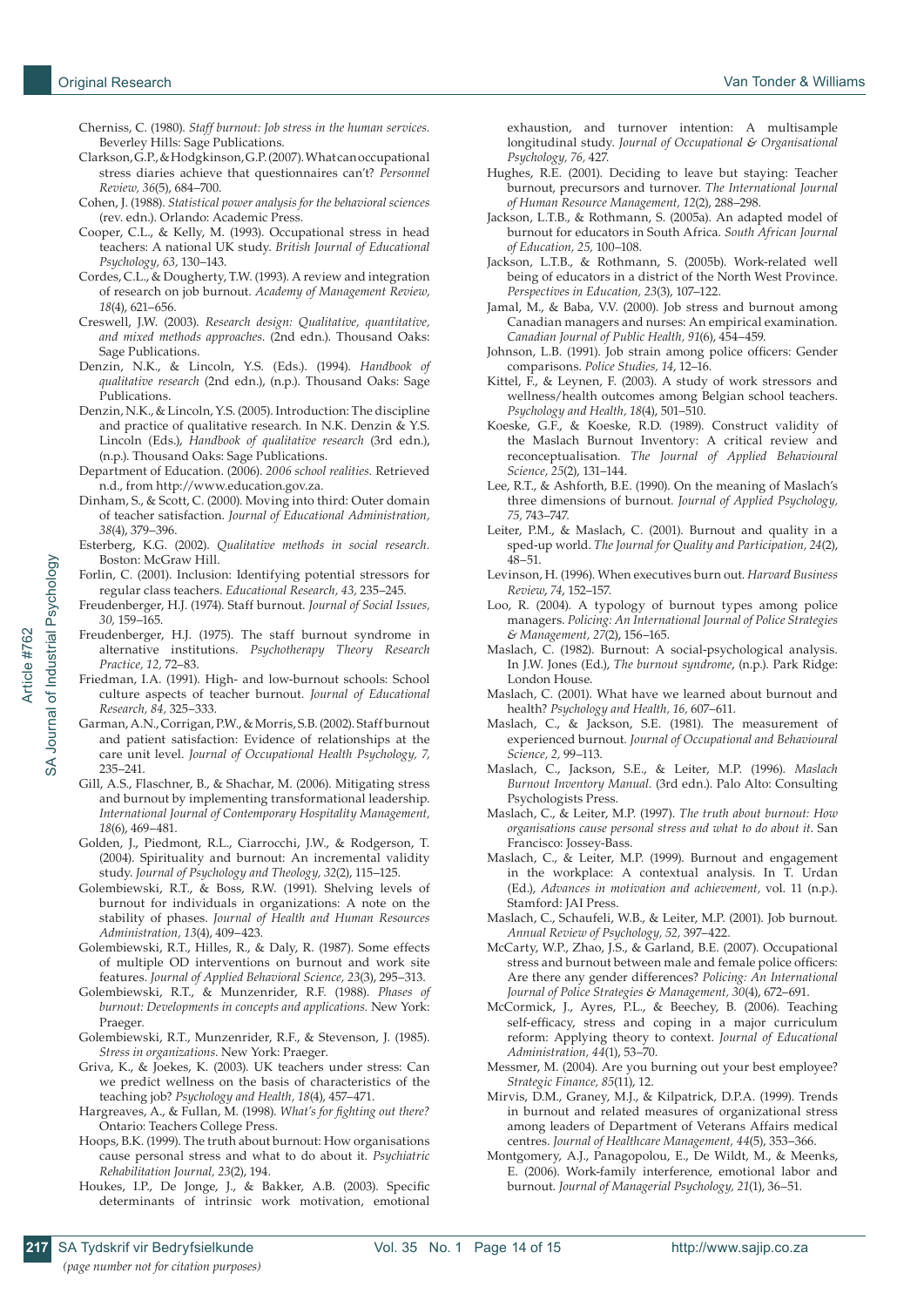- Cherniss, C. (1980). *Staff burnout: Job stress in the human services.* Beverley Hills: Sage Publications.
- Clarkson, G.P., & Hodgkinson, G.P. (2007). What can occupational stress diaries achieve that questionnaires can't? *Personnel Review, 36*(5), 684–700.
- Cohen, J. (1988). *Statistical power analysis for the behavioral sciences* (rev. edn.). Orlando: Academic Press.
- Cooper, C.L., & Kelly, M. (1993). Occupational stress in head teachers: A national UK study. *British Journal of Educational Psychology, 63,* 130–143.
- Cordes, C.L., & Dougherty, T.W. (1993). A review and integration of research on job burnout. *Academy of Management Review, 18*(4), 621–656.
- Creswell, J.W. (2003). *Research design: Qualitative, quantitative, and mixed methods approaches*. (2nd edn.). Thousand Oaks: Sage Publications.
- Denzin, N.K., & Lincoln, Y.S. (Eds.). (1994). *Handbook of qualitative research* (2nd edn.), (n.p.). Thousand Oaks: Sage Publications.
- Denzin, N.K., & Lincoln, Y.S. (2005). Introduction: The discipline and practice of qualitative research. In N.K. Denzin & Y.S. Lincoln (Eds.), *Handbook of qualitative research* (3rd edn.), (n.p.). Thousand Oaks: Sage Publications.
- Department of Education. (2006). *2006 school realities.* Retrieved n.d., from http://www.education.gov.za.
- Dinham, S., & Scott, C. (2000). Moving into third: Outer domain of teacher satisfaction. *Journal of Educational Administration, 38*(4), 379–396.
- Esterberg, K.G. (2002). *Qualitative methods in social research.* Boston: McGraw Hill.
- Forlin, C. (2001). Inclusion: Identifying potential stressors for regular class teachers. *Educational Research, 43,* 235–245.
- Freudenberger, H.J. (1974). Staff burnout. *Journal of Social Issues, 30,* 159–165.
- Freudenberger, H.J. (1975). The staff burnout syndrome in alternative institutions. *Psychotherapy Theory Research Practice, 12,* 72–83.
- Friedman, I.A. (1991). High- and low-burnout schools: School culture aspects of teacher burnout. *Journal of Educational Research, 84,* 325–333.
- Garman, A.N., Corrigan, P.W., & Morris, S.B. (2002). Staff burnout and patient satisfaction: Evidence of relationships at the care unit level. *Journal of Occupational Health Psychology, 7,* 235–241.
- Gill, A.S., Flaschner, B., & Shachar, M. (2006). Mitigating stress and burnout by implementing transformational leadership. *International Journal of Contemporary Hospitality Management, 18*(6), 469–481.
- Golden, J., Piedmont, R.L., Ciarrocchi, J.W., & Rodgerson, T. (2004). Spirituality and burnout: An incremental validity study. *Journal of Psychology and Theology, 32*(2), 115–125.
- Golembiewski, R.T., & Boss, R.W. (1991). Shelving levels of burnout for individuals in organizations: A note on the stability of phases. *Journal of Health and Human Resources Administration, 13*(4), 409–423.
- Golembiewski, R.T., Hilles, R., & Daly, R. (1987). Some effects of multiple OD interventions on burnout and work site features. *Journal of Applied Behavioral Science, 23*(3), 295–313.
- Golembiewski, R.T., & Munzenrider, R.F. (1988). *Phases of burnout: Developments in concepts and applications.* New York: Praeger.
- Golembiewski, R.T., Munzenrider, R.F., & Stevenson, J. (1985). *Stress in organizations*. New York: Praeger.
- Griva, K., & Joekes, K. (2003). UK teachers under stress: Can we predict wellness on the basis of characteristics of the teaching job? *Psychology and Health, 18*(4), 457–471.
- Hargreaves, A., & Fullan, M. (1998). *What's for fighting out there?* Ontario: Teachers College Press.
- Hoops, B.K. (1999). The truth about burnout: How organisations cause personal stress and what to do about it. *Psychiatric Rehabilitation Journal, 23*(2), 194.
- Houkes, I.P., De Jonge, J., & Bakker, A.B. (2003). Specific determinants of intrinsic work motivation, emotional

exhaustion, and turnover intention: A multisample longitudinal study. *Journal of Occupational & Organisational Psychology, 76,* 427.

- Hughes, R.E. (2001). Deciding to leave but staying: Teacher burnout, precursors and turnover. *The International Journal of Human Resource Management, 12*(2), 288–298.
- Jackson, L.T.B., & Rothmann, S. (2005a). An adapted model of burnout for educators in South Africa. *South African Journal of Education, 25,* 100–108.
- Jackson, L.T.B., & Rothmann, S. (2005b). Work-related well being of educators in a district of the North West Province. *Perspectives in Education, 23*(3), 107–122.
- Jamal, M., & Baba, V.V. (2000). Job stress and burnout among Canadian managers and nurses: An empirical examination. *Canadian Journal of Public Health, 91*(6), 454–459.
- Johnson, L.B. (1991). Job strain among police officers: Gender comparisons. *Police Studies, 14*, 12–16.
- Kittel, F., & Leynen, F. (2003). A study of work stressors and wellness/health outcomes among Belgian school teachers. *Psychology and Health, 18*(4), 501–510.
- Koeske, G.F., & Koeske, R.D. (1989). Construct validity of the Maslach Burnout Inventory: A critical review and reconceptualisation. *The Journal of Applied Behavioural Science, 25*(2), 131–144.
- Lee, R.T., & Ashforth, B.E. (1990). On the meaning of Maslach's three dimensions of burnout. *Journal of Applied Psychology, 75,* 743–747.
- Leiter, P.M., & Maslach, C. (2001). Burnout and quality in a sped-up world. *The Journal for Quality and Participation, 24*(2), 48–51.
- Levinson, H. (1996). When executives burn out. *Harvard Business Review*, *74*, 152–157.
- Loo, R. (2004). A typology of burnout types among police managers. *Policing: An International Journal of Police Strategies & Management, 27*(2), 156–165.
- Maslach, C. (1982). Burnout: A social-psychological analysis. In J.W. Jones (Ed.), *The burnout syndrome*, (n.p.). Park Ridge: London House.
- Maslach, C. (2001). What have we learned about burnout and health? *Psychology and Health, 16,* 607–611.
- Maslach, C., & Jackson, S.E. (1981). The measurement of experienced burnout. *Journal of Occupational and Behavioural Science, 2,* 99–113.
- Maslach, C., Jackson, S.E., & Leiter, M.P. (1996). *Maslach Burnout Inventory Manual.* (3rd edn.). Palo Alto: Consulting Psychologists Press.
- Maslach, C., & Leiter, M.P. (1997). *The truth about burnout: How organisations cause personal stress and what to do about it*. San Francisco: Jossey-Bass.
- Maslach, C., & Leiter, M.P. (1999). Burnout and engagement in the workplace: A contextual analysis. In T. Urdan (Ed.), *Advances in motivation and achievement,* vol. 11 (n.p.). Stamford: JAI Press.
- Maslach, C., Schaufeli, W.B., & Leiter, M.P. (2001). Job burnout. *Annual Review of Psychology, 52,* 397–422.
- McCarty, W.P., Zhao, J.S., & Garland, B.E. (2007). Occupational stress and burnout between male and female police officers: Are there any gender differences? *Policing: An International Journal of Police Strategies & Management, 30*(4), 672–691.
- McCormick, J., Ayres, P.L., & Beechey, B. (2006). Teaching self-efficacy, stress and coping in a major curriculum reform: Applying theory to context. *Journal of Educational Administration, 44*(1), 53–70.
- Messmer, M. (2004). Are you burning out your best employee? *Strategic Finance, 85*(11), 12.
- Mirvis, D.M., Graney, M.J., & Kilpatrick, D.P.A. (1999). Trends in burnout and related measures of organizational stress among leaders of Department of Veterans Affairs medical centres. *Journal of Healthcare Management, 44*(5), 353–366.
- Montgomery, A.J., Panagopolou, E., De Wildt, M., & Meenks, E. (2006). Work-family interference, emotional labor and burnout. *Journal of Managerial Psychology, 21*(1), 36–51.